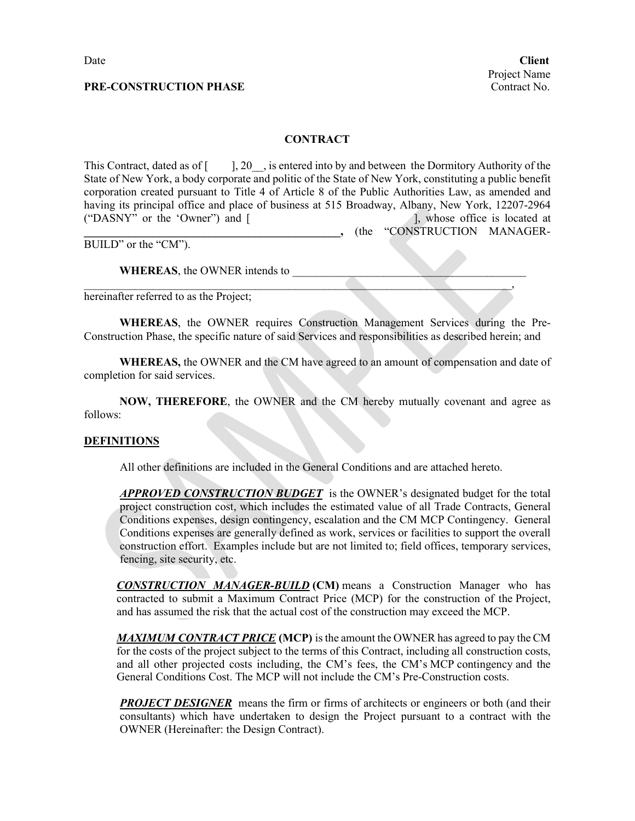#### **CONTRACT**

This Contract, dated as of  $\lceil \quad \rceil$ , 20. is entered into by and between the Dormitory Authority of the State of New York, a body corporate and politic of the State of New York, constituting a public benefit corporation created pursuant to Title 4 of Article 8 of the Public Authorities Law, as amended and having its principal office and place of business at 515 Broadway, Albany, New York, 12207-2964 ("DASNY" or the 'Owner") and [ ], whose office is located at **\_\_\_\_\_\_\_\_\_\_\_\_\_\_\_\_\_\_\_\_\_\_\_\_\_\_\_\_\_\_\_\_\_\_\_\_\_\_\_\_\_\_\_\_\_,** (the "CONSTRUCTION MANAGER-

BUILD" or the "CM").

WHEREAS, the OWNER intends to

hereinafter referred to as the Project;

**WHEREAS**, the OWNER requires Construction Management Services during the Pre-Construction Phase, the specific nature of said Services and responsibilities as described herein; and

\_\_\_\_\_\_\_\_\_\_\_\_\_\_\_\_\_\_\_\_\_\_\_\_\_\_\_\_\_\_\_\_\_\_\_\_\_\_\_\_\_\_\_\_\_\_\_\_\_\_\_\_\_\_\_\_\_\_\_\_\_\_\_\_\_\_\_\_\_\_\_\_\_\_\_,

**WHEREAS,** the OWNER and the CM have agreed to an amount of compensation and date of completion for said services.

**NOW, THEREFORE**, the OWNER and the CM hereby mutually covenant and agree as follows:

#### **DEFINITIONS**

All other definitions are included in the General Conditions and are attached hereto.

*APPROVED CONSTRUCTION BUDGET* is the OWNER's designated budget for the total project construction cost, which includes the estimated value of all Trade Contracts, General Conditions expenses, design contingency, escalation and the CM MCP Contingency. General Conditions expenses are generally defined as work, services or facilities to support the overall construction effort. Examples include but are not limited to; field offices, temporary services, fencing, site security, etc.

**CONSTRUCTION MANAGER-BUILD** (CM) means a Construction Manager who has contracted to submit a Maximum Contract Price (MCP) for the construction of the Project, and has assumed the risk that the actual cost of the construction may exceed the MCP.

*MAXIMUM CONTRACT PRICE* **(MCP)** is the amount the OWNER has agreed to pay the CM for the costs of the project subject to the terms of this Contract, including all construction costs, and all other projected costs including, the CM's fees, the CM's MCP contingency and the General Conditions Cost. The MCP will not include the CM's Pre-Construction costs.

*PROJECT DESIGNER* means the firm or firms of architects or engineers or both (and their consultants) which have undertaken to design the Project pursuant to a contract with the OWNER (Hereinafter: the Design Contract).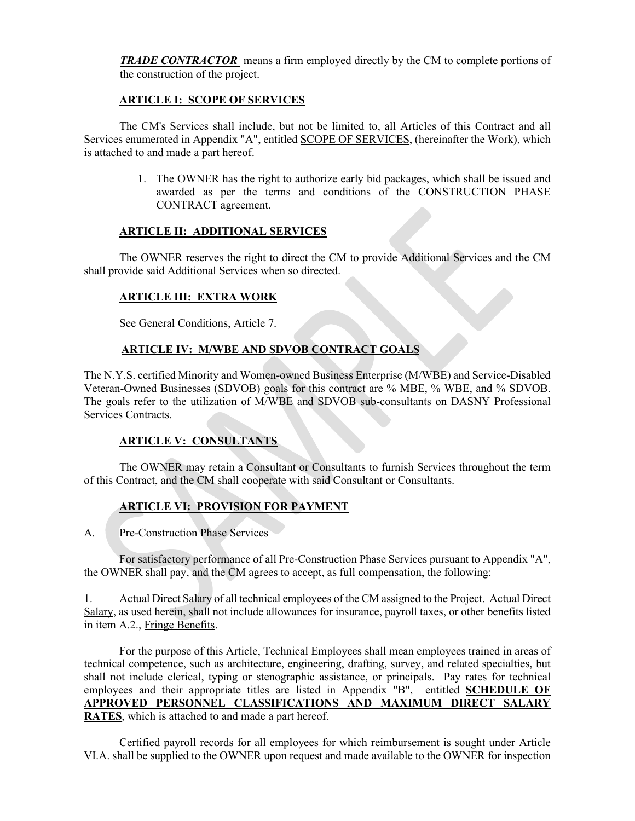*TRADE CONTRACTOR* means a firm employed directly by the CM to complete portions of the construction of the project.

#### **ARTICLE I: SCOPE OF SERVICES**

The CM's Services shall include, but not be limited to, all Articles of this Contract and all Services enumerated in Appendix "A", entitled SCOPE OF SERVICES, (hereinafter the Work), which is attached to and made a part hereof.

> 1. The OWNER has the right to authorize early bid packages, which shall be issued and awarded as per the terms and conditions of the CONSTRUCTION PHASE CONTRACT agreement.

## **ARTICLE II: ADDITIONAL SERVICES**

The OWNER reserves the right to direct the CM to provide Additional Services and the CM shall provide said Additional Services when so directed.

#### **ARTICLE III: EXTRA WORK**

See General Conditions, Article 7.

## **ARTICLE IV: M/WBE AND SDVOB CONTRACT GOALS**

The N.Y.S. certified Minority and Women-owned Business Enterprise (M/WBE) and Service-Disabled Veteran-Owned Businesses (SDVOB) goals for this contract are % MBE, % WBE, and % SDVOB. The goals refer to the utilization of M/WBE and SDVOB sub-consultants on DASNY Professional Services Contracts.

## **ARTICLE V: CONSULTANTS**

The OWNER may retain a Consultant or Consultants to furnish Services throughout the term of this Contract, and the CM shall cooperate with said Consultant or Consultants.

#### **ARTICLE VI: PROVISION FOR PAYMENT**

A. Pre-Construction Phase Services

For satisfactory performance of all Pre-Construction Phase Services pursuant to Appendix "A", the OWNER shall pay, and the CM agrees to accept, as full compensation, the following:

1. Actual Direct Salary of all technical employees of the CM assigned to the Project. Actual Direct Salary, as used herein, shall not include allowances for insurance, payroll taxes, or other benefits listed in item A.2., Fringe Benefits.

For the purpose of this Article, Technical Employees shall mean employees trained in areas of technical competence, such as architecture, engineering, drafting, survey, and related specialties, but shall not include clerical, typing or stenographic assistance, or principals. Pay rates for technical employees and their appropriate titles are listed in Appendix "B", entitled **SCHEDULE OF APPROVED PERSONNEL CLASSIFICATIONS AND MAXIMUM DIRECT SALARY RATES**, which is attached to and made a part hereof.

Certified payroll records for all employees for which reimbursement is sought under Article VI.A. shall be supplied to the OWNER upon request and made available to the OWNER for inspection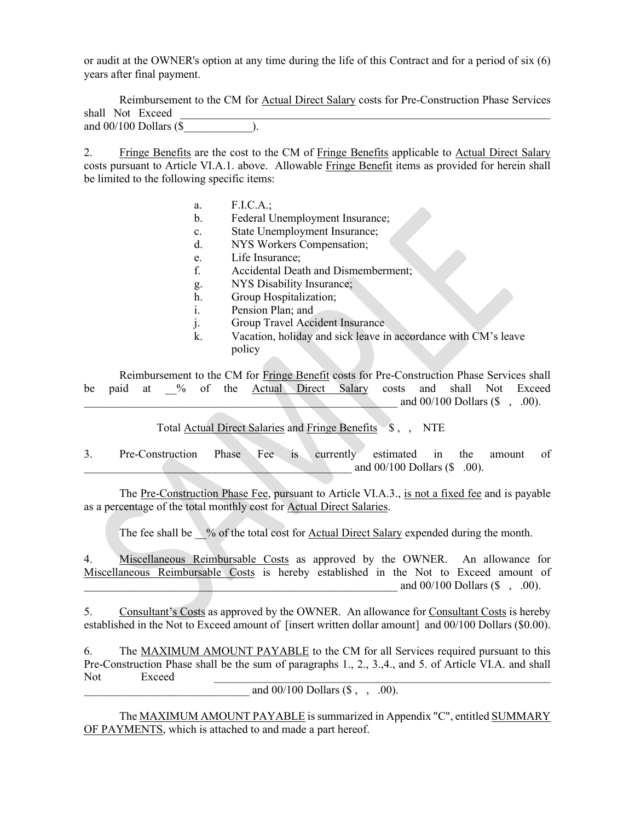or audit at the OWNER's option at any time during the life of this Contract and for a period of six (6) years after final payment.

Reimbursement to the CM for Actual Direct Salary costs for Pre-Construction Phase Services shall Not Exceed and 00/100 Dollars (\$\_\_\_\_\_\_\_\_\_\_\_\_).

2. Fringe Benefits are the cost to the CM of Fringe Benefits applicable to Actual Direct Salary costs pursuant to Article VI.A.1. above. Allowable Fringe Benefit items as provided for herein shall be limited to the following specific items:

- a. F.I.C.A.;
- b. Federal Unemployment Insurance;
- c. State Unemployment Insurance;
- d. NYS Workers Compensation;
- e. Life Insurance;
- f. Accidental Death and Dismemberment;
- g. NYS Disability Insurance;
- h. Group Hospitalization;
- i. Pension Plan; and
- j. Group Travel Accident Insurance
- k. Vacation, holiday and sick leave in accordance with CM's leave policy

Reimbursement to the CM for Fringe Benefit costs for Pre-Construction Phase Services shall be paid at % of the Actual Direct Salary costs and shall Not Exceed and  $00/100$  Dollars (\$, .00).

Total Actual Direct Salaries and Fringe Benefits \$, , NTE

3. Pre-Construction Phase Fee is currently estimated in the amount of and  $00/100$  Dollars (\$ .00).

The Pre-Construction Phase Fee, pursuant to Article VI.A.3., is not a fixed fee and is payable as a percentage of the total monthly cost for Actual Direct Salaries.

The fee shall be  $\%$  of the total cost for Actual Direct Salary expended during the month.

4. Miscellaneous Reimbursable Costs as approved by the OWNER. An allowance for Miscellaneous Reimbursable Costs is hereby established in the Not to Exceed amount of and  $00/100$  Dollars (\$, .00).

5. Consultant's Costs as approved by the OWNER. An allowance for Consultant Costs is hereby established in the Not to Exceed amount of [insert written dollar amount] and 00/100 Dollars (\$0.00).

6. The MAXIMUM AMOUNT PAYABLE to the CM for all Services required pursuant to this Pre-Construction Phase shall be the sum of paragraphs 1., 2., 3.,4., and 5. of Article VI.A. and shall Not Exceed \_\_\_\_\_\_\_\_\_\_\_\_\_\_\_\_\_\_\_\_\_\_\_\_\_\_\_\_\_\_\_\_\_\_\_\_\_\_\_\_\_\_\_\_\_\_\_\_\_\_\_\_\_\_\_\_\_\_\_

and  $00/100$  Dollars  $(\$ , , .00)$ .

The MAXIMUM AMOUNT PAYABLE is summarized in Appendix "C", entitled SUMMARY OF PAYMENTS, which is attached to and made a part hereof.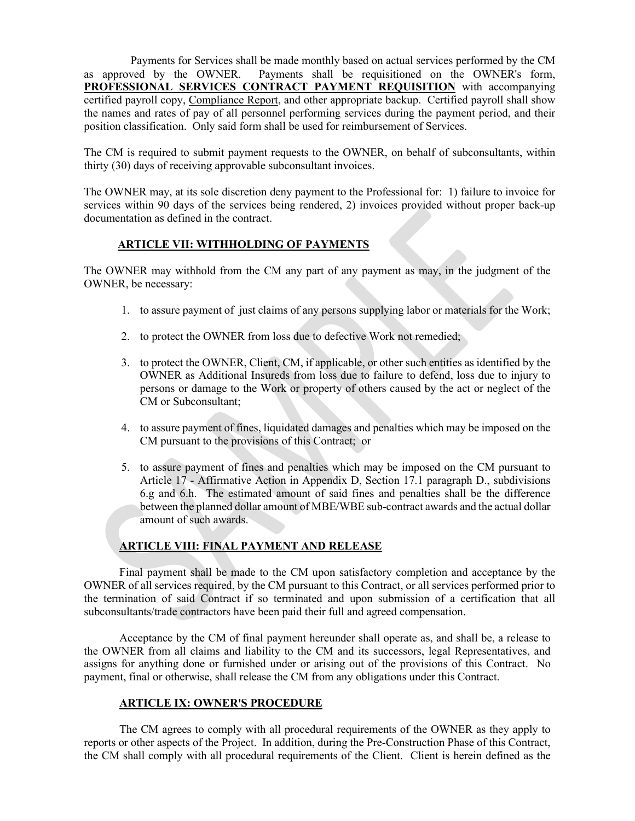Payments for Services shall be made monthly based on actual services performed by the CM as approved by the OWNER. Payments shall be requisitioned on the OWNER's form, **PROFESSIONAL SERVICES CONTRACT PAYMENT REQUISITION** with accompanying certified payroll copy, Compliance Report, and other appropriate backup. Certified payroll shall show the names and rates of pay of all personnel performing services during the payment period, and their position classification. Only said form shall be used for reimbursement of Services.

The CM is required to submit payment requests to the OWNER, on behalf of subconsultants, within thirty (30) days of receiving approvable subconsultant invoices.

The OWNER may, at its sole discretion deny payment to the Professional for: 1) failure to invoice for services within 90 days of the services being rendered, 2) invoices provided without proper back-up documentation as defined in the contract.

#### **ARTICLE VII: WITHHOLDING OF PAYMENTS**

The OWNER may withhold from the CM any part of any payment as may, in the judgment of the OWNER, be necessary:

- 1. to assure payment of just claims of any persons supplying labor or materials for the Work;
- 2. to protect the OWNER from loss due to defective Work not remedied;
- 3. to protect the OWNER, Client, CM, if applicable, or other such entities as identified by the OWNER as Additional Insureds from loss due to failure to defend, loss due to injury to persons or damage to the Work or property of others caused by the act or neglect of the CM or Subconsultant;
- 4. to assure payment of fines, liquidated damages and penalties which may be imposed on the CM pursuant to the provisions of this Contract; or
- 5. to assure payment of fines and penalties which may be imposed on the CM pursuant to Article 17 - Affirmative Action in Appendix D, Section 17.1 paragraph D., subdivisions 6.g and 6.h. The estimated amount of said fines and penalties shall be the difference between the planned dollar amount of MBE/WBE sub-contract awards and the actual dollar amount of such awards.

#### **ARTICLE VIII: FINAL PAYMENT AND RELEASE**

Final payment shall be made to the CM upon satisfactory completion and acceptance by the OWNER of all services required, by the CM pursuant to this Contract, or all services performed prior to the termination of said Contract if so terminated and upon submission of a certification that all subconsultants/trade contractors have been paid their full and agreed compensation.

Acceptance by the CM of final payment hereunder shall operate as, and shall be, a release to the OWNER from all claims and liability to the CM and its successors, legal Representatives, and assigns for anything done or furnished under or arising out of the provisions of this Contract. No payment, final or otherwise, shall release the CM from any obligations under this Contract.

#### **ARTICLE IX: OWNER'S PROCEDURE**

The CM agrees to comply with all procedural requirements of the OWNER as they apply to reports or other aspects of the Project. In addition, during the Pre-Construction Phase of this Contract, the CM shall comply with all procedural requirements of the Client. Client is herein defined as the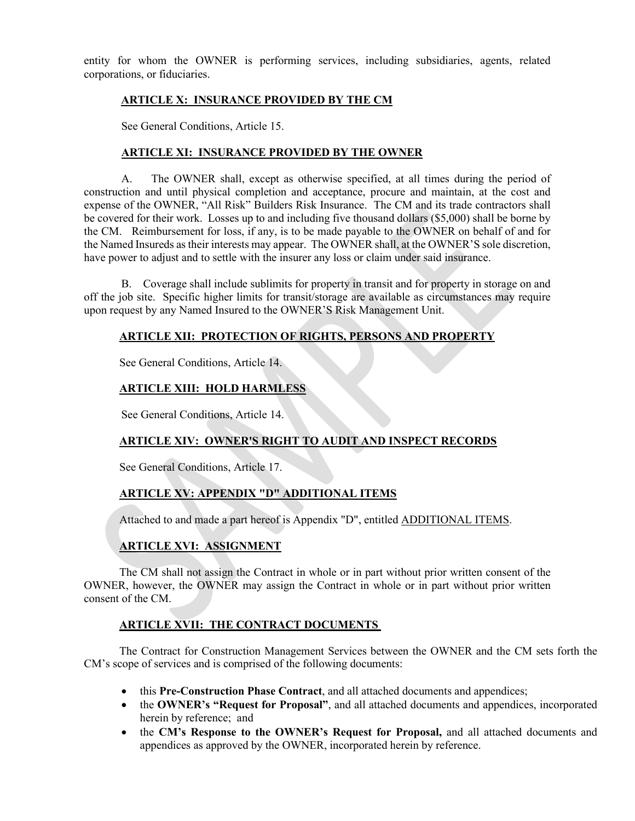entity for whom the OWNER is performing services, including subsidiaries, agents, related corporations, or fiduciaries.

#### **ARTICLE X: INSURANCE PROVIDED BY THE CM**

See General Conditions, Article 15.

#### **ARTICLE XI: INSURANCE PROVIDED BY THE OWNER**

A. The OWNER shall, except as otherwise specified, at all times during the period of construction and until physical completion and acceptance, procure and maintain, at the cost and expense of the OWNER, "All Risk" Builders Risk Insurance. The CM and its trade contractors shall be covered for their work. Losses up to and including five thousand dollars (\$5,000) shall be borne by the CM. Reimbursement for loss, if any, is to be made payable to the OWNER on behalf of and for the Named Insureds as their interests may appear. The OWNER shall, at the OWNER'S sole discretion, have power to adjust and to settle with the insurer any loss or claim under said insurance.

B. Coverage shall include sublimits for property in transit and for property in storage on and off the job site. Specific higher limits for transit/storage are available as circumstances may require upon request by any Named Insured to the OWNER'S Risk Management Unit.

## **ARTICLE XII: PROTECTION OF RIGHTS, PERSONS AND PROPERTY**

See General Conditions, Article 14.

## **ARTICLE XIII: HOLD HARMLESS**

See General Conditions, Article 14.

## **ARTICLE XIV: OWNER'S RIGHT TO AUDIT AND INSPECT RECORDS**

See General Conditions, Article 17.

## **ARTICLE XV: APPENDIX "D" ADDITIONAL ITEMS**

Attached to and made a part hereof is Appendix "D", entitled ADDITIONAL ITEMS.

## **ARTICLE XVI: ASSIGNMENT**

The CM shall not assign the Contract in whole or in part without prior written consent of the OWNER, however, the OWNER may assign the Contract in whole or in part without prior written consent of the CM.

## **ARTICLE XVII: THE CONTRACT DOCUMENTS**

The Contract for Construction Management Services between the OWNER and the CM sets forth the CM's scope of services and is comprised of the following documents:

- this **Pre-Construction Phase Contract**, and all attached documents and appendices;
- the **OWNER's "Request for Proposal"**, and all attached documents and appendices, incorporated herein by reference; and
- the **CM's Response to the OWNER's Request for Proposal,** and all attached documents and appendices as approved by the OWNER, incorporated herein by reference.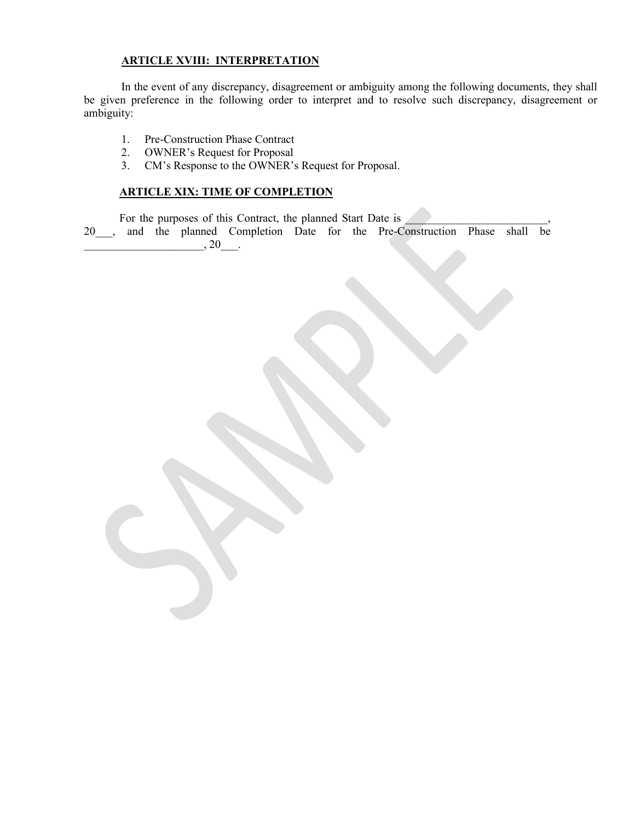## **ARTICLE XVIII: INTERPRETATION**

In the event of any discrepancy, disagreement or ambiguity among the following documents, they shall be given preference in the following order to interpret and to resolve such discrepancy, disagreement or ambiguity:

- 1. Pre-Construction Phase Contract
- 2. OWNER's Request for Proposal
- 3. CM's Response to the OWNER's Request for Proposal.

## **ARTICLE XIX: TIME OF COMPLETION**

For the purposes of this Contract, the planned Start Date is

20 , and the planned Completion Date for the Pre-Construction Phase shall be  $, 20$ .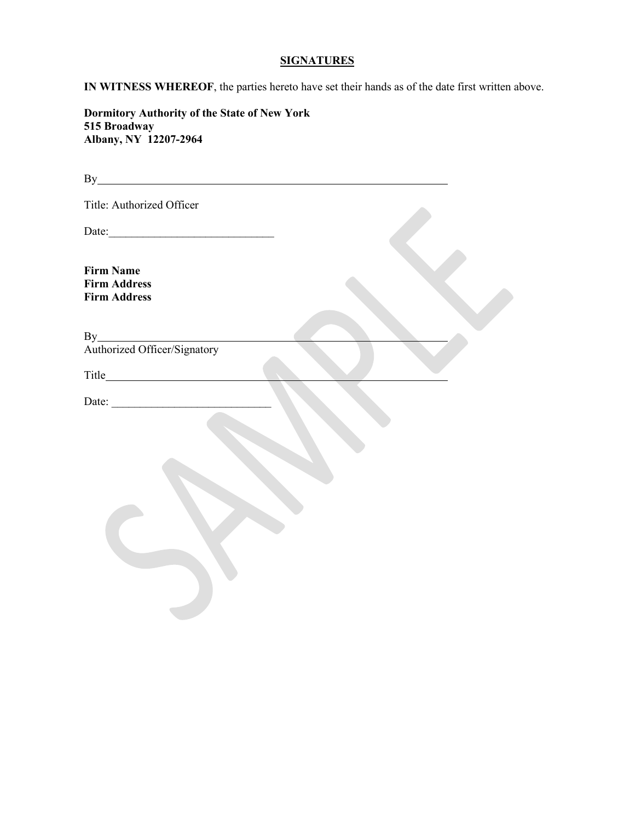#### **SIGNATURES**

**IN WITNESS WHEREOF**, the parties hereto have set their hands as of the date first written above.

**Dormitory Authority of the State of New York 515 Broadway Albany, NY 12207-2964**

By extension of the state of the state of the state of the state of the state of the state of the state of the state of the state of the state of the state of the state of the state of the state of the state of the state o Title: Authorized Officer Date:\_\_\_\_\_\_\_\_\_\_\_\_\_\_\_\_\_\_\_\_\_\_\_\_\_\_\_\_\_ **Firm Name Firm Address Firm Address** By the contract of the contract of the contract of the contract of the contract of the contract of the contract of the contract of the contract of the contract of the contract of the contract of the contract of the contrac Authorized Officer/Signatory Title **The Community** Title Date: \_\_\_\_\_\_\_\_\_\_\_\_\_\_\_\_\_\_\_\_\_\_\_\_\_\_\_\_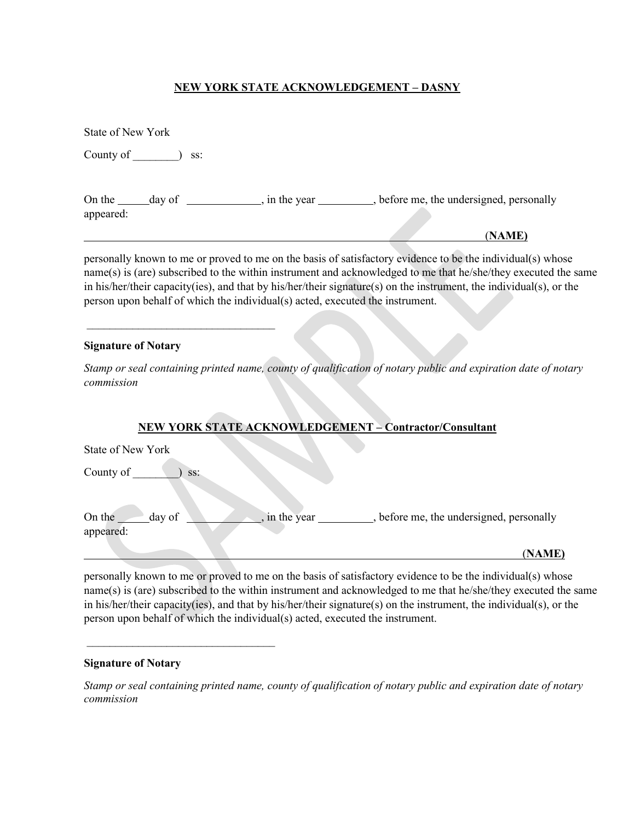#### **NEW YORK STATE ACKNOWLEDGEMENT – DASNY**

| <b>State of New York</b>                                                      |                                                                                                                                                                                                                                                                                                                                                     |  |
|-------------------------------------------------------------------------------|-----------------------------------------------------------------------------------------------------------------------------------------------------------------------------------------------------------------------------------------------------------------------------------------------------------------------------------------------------|--|
| County of $\qquad$<br>SS:                                                     |                                                                                                                                                                                                                                                                                                                                                     |  |
| appeared:                                                                     | On the ______day of _______________, in the year _________, before me, the undersigned, personally<br>(NAME)                                                                                                                                                                                                                                        |  |
| person upon behalf of which the individual(s) acted, executed the instrument. | personally known to me or proved to me on the basis of satisfactory evidence to be the individual(s) whose<br>name(s) is (are) subscribed to the within instrument and acknowledged to me that he/she/they executed the same<br>in his/her/their capacity(ies), and that by his/her/their signature(s) on the instrument, the individual(s), or the |  |
| <b>Signature of Notary</b>                                                    |                                                                                                                                                                                                                                                                                                                                                     |  |
|                                                                               | Stamp or seal containing printed name, county of qualification of notary public and expiration date of notary                                                                                                                                                                                                                                       |  |

## **NEW YORK STATE ACKNOWLEDGEMENT – Contractor/Consultant**

| State of New York |             |                                        |
|-------------------|-------------|----------------------------------------|
| County of<br>SS:  |             |                                        |
|                   |             |                                        |
| On the<br>day of  | in the year | before me, the undersigned, personally |
| appeared:         |             |                                        |
|                   |             | (NAME)                                 |

personally known to me or proved to me on the basis of satisfactory evidence to be the individual(s) whose name(s) is (are) subscribed to the within instrument and acknowledged to me that he/she/they executed the same in his/her/their capacity(ies), and that by his/her/their signature(s) on the instrument, the individual(s), or the person upon behalf of which the individual(s) acted, executed the instrument.

#### **Signature of Notary**

 $\overline{\phantom{a}}$  , where  $\overline{\phantom{a}}$  , where  $\overline{\phantom{a}}$  , where  $\overline{\phantom{a}}$ 

*commission*

*Stamp or seal containing printed name, county of qualification of notary public and expiration date of notary commission*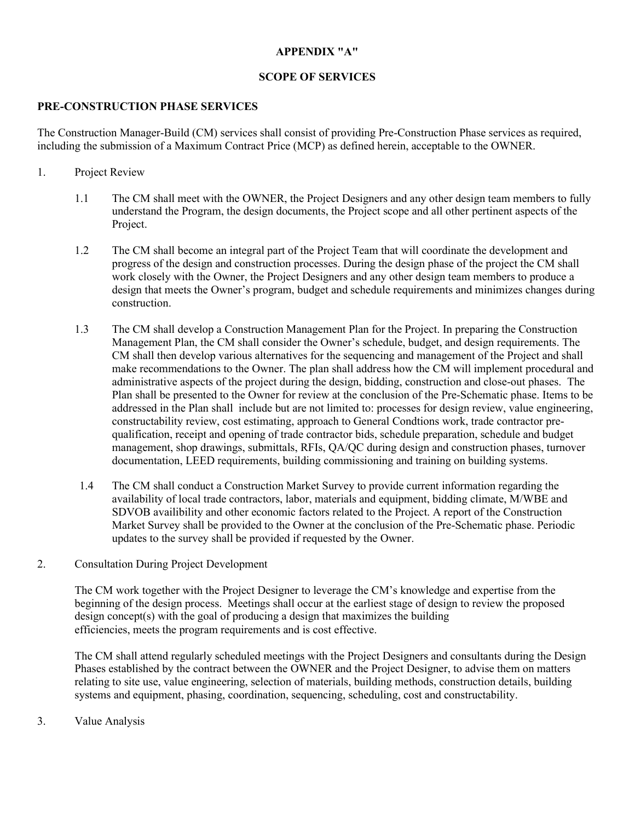## **APPENDIX "A"**

## **SCOPE OF SERVICES**

## **PRE-CONSTRUCTION PHASE SERVICES**

The Construction Manager-Build (CM) services shall consist of providing Pre-Construction Phase services as required, including the submission of a Maximum Contract Price (MCP) as defined herein, acceptable to the OWNER.

## 1. Project Review

- 1.1 The CM shall meet with the OWNER, the Project Designers and any other design team members to fully understand the Program, the design documents, the Project scope and all other pertinent aspects of the Project.
- 1.2 The CM shall become an integral part of the Project Team that will coordinate the development and progress of the design and construction processes. During the design phase of the project the CM shall work closely with the Owner, the Project Designers and any other design team members to produce a design that meets the Owner's program, budget and schedule requirements and minimizes changes during construction.
- 1.3 The CM shall develop a Construction Management Plan for the Project. In preparing the Construction Management Plan, the CM shall consider the Owner's schedule, budget, and design requirements. The CM shall then develop various alternatives for the sequencing and management of the Project and shall make recommendations to the Owner. The plan shall address how the CM will implement procedural and administrative aspects of the project during the design, bidding, construction and close-out phases. The Plan shall be presented to the Owner for review at the conclusion of the Pre-Schematic phase. Items to be addressed in the Plan shall include but are not limited to: processes for design review, value engineering, constructability review, cost estimating, approach to General Condtions work, trade contractor prequalification, receipt and opening of trade contractor bids, schedule preparation, schedule and budget management, shop drawings, submittals, RFIs, QA/QC during design and construction phases, turnover documentation, LEED requirements, building commissioning and training on building systems.
- 1.4 The CM shall conduct a Construction Market Survey to provide current information regarding the availability of local trade contractors, labor, materials and equipment, bidding climate, M/WBE and SDVOB availibility and other economic factors related to the Project. A report of the Construction Market Survey shall be provided to the Owner at the conclusion of the Pre-Schematic phase. Periodic updates to the survey shall be provided if requested by the Owner.

#### 2. Consultation During Project Development

The CM work together with the Project Designer to leverage the CM's knowledge and expertise from the beginning of the design process. Meetings shall occur at the earliest stage of design to review the proposed design concept(s) with the goal of producing a design that maximizes the building efficiencies, meets the program requirements and is cost effective.

The CM shall attend regularly scheduled meetings with the Project Designers and consultants during the Design Phases established by the contract between the OWNER and the Project Designer, to advise them on matters relating to site use, value engineering, selection of materials, building methods, construction details, building systems and equipment, phasing, coordination, sequencing, scheduling, cost and constructability.

3. Value Analysis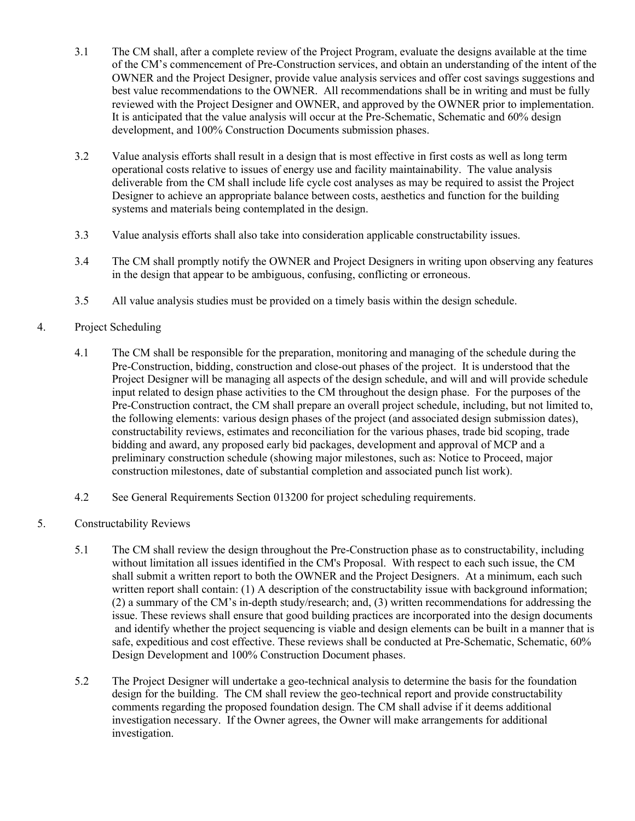- 3.1 The CM shall, after a complete review of the Project Program, evaluate the designs available at the time of the CM's commencement of Pre-Construction services, and obtain an understanding of the intent of the OWNER and the Project Designer, provide value analysis services and offer cost savings suggestions and best value recommendations to the OWNER. All recommendations shall be in writing and must be fully reviewed with the Project Designer and OWNER, and approved by the OWNER prior to implementation. It is anticipated that the value analysis will occur at the Pre-Schematic, Schematic and 60% design development, and 100% Construction Documents submission phases.
- 3.2 Value analysis efforts shall result in a design that is most effective in first costs as well as long term operational costs relative to issues of energy use and facility maintainability. The value analysis deliverable from the CM shall include life cycle cost analyses as may be required to assist the Project Designer to achieve an appropriate balance between costs, aesthetics and function for the building systems and materials being contemplated in the design.
- 3.3 Value analysis efforts shall also take into consideration applicable constructability issues.
- 3.4 The CM shall promptly notify the OWNER and Project Designers in writing upon observing any features in the design that appear to be ambiguous, confusing, conflicting or erroneous.
- 3.5 All value analysis studies must be provided on a timely basis within the design schedule.

## 4. Project Scheduling

- 4.1 The CM shall be responsible for the preparation, monitoring and managing of the schedule during the Pre-Construction, bidding, construction and close-out phases of the project. It is understood that the Project Designer will be managing all aspects of the design schedule, and will and will provide schedule input related to design phase activities to the CM throughout the design phase. For the purposes of the Pre-Construction contract, the CM shall prepare an overall project schedule, including, but not limited to, the following elements: various design phases of the project (and associated design submission dates), constructability reviews, estimates and reconciliation for the various phases, trade bid scoping, trade bidding and award, any proposed early bid packages, development and approval of MCP and a preliminary construction schedule (showing major milestones, such as: Notice to Proceed, major construction milestones, date of substantial completion and associated punch list work).
- 4.2 See General Requirements Section 013200 for project scheduling requirements.
- 5. Constructability Reviews
	- 5.1 The CM shall review the design throughout the Pre-Construction phase as to constructability, including without limitation all issues identified in the CM's Proposal. With respect to each such issue, the CM shall submit a written report to both the OWNER and the Project Designers. At a minimum, each such written report shall contain: (1) A description of the constructability issue with background information; (2) a summary of the CM's in-depth study/research; and, (3) written recommendations for addressing the issue. These reviews shall ensure that good building practices are incorporated into the design documents and identify whether the project sequencing is viable and design elements can be built in a manner that is safe, expeditious and cost effective. These reviews shall be conducted at Pre-Schematic, Schematic, 60% Design Development and 100% Construction Document phases.
	- 5.2 The Project Designer will undertake a geo-technical analysis to determine the basis for the foundation design for the building. The CM shall review the geo-technical report and provide constructability comments regarding the proposed foundation design. The CM shall advise if it deems additional investigation necessary. If the Owner agrees, the Owner will make arrangements for additional investigation.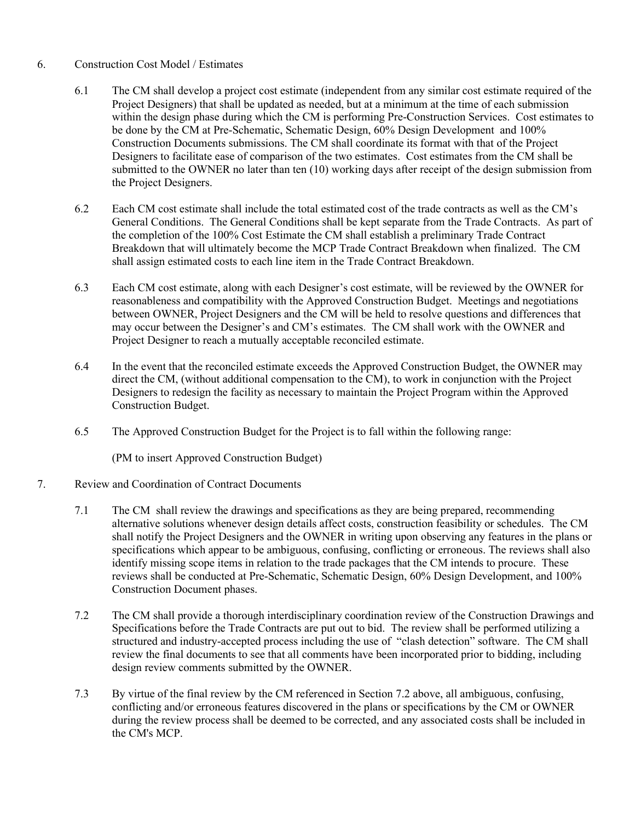## 6. Construction Cost Model / Estimates

- 6.1 The CM shall develop a project cost estimate (independent from any similar cost estimate required of the Project Designers) that shall be updated as needed, but at a minimum at the time of each submission within the design phase during which the CM is performing Pre-Construction Services. Cost estimates to be done by the CM at Pre-Schematic, Schematic Design, 60% Design Development and 100% Construction Documents submissions. The CM shall coordinate its format with that of the Project Designers to facilitate ease of comparison of the two estimates. Cost estimates from the CM shall be submitted to the OWNER no later than ten (10) working days after receipt of the design submission from the Project Designers.
- 6.2 Each CM cost estimate shall include the total estimated cost of the trade contracts as well as the CM's General Conditions. The General Conditions shall be kept separate from the Trade Contracts. As part of the completion of the 100% Cost Estimate the CM shall establish a preliminary Trade Contract Breakdown that will ultimately become the MCP Trade Contract Breakdown when finalized. The CM shall assign estimated costs to each line item in the Trade Contract Breakdown.
- 6.3 Each CM cost estimate, along with each Designer's cost estimate, will be reviewed by the OWNER for reasonableness and compatibility with the Approved Construction Budget. Meetings and negotiations between OWNER, Project Designers and the CM will be held to resolve questions and differences that may occur between the Designer's and CM's estimates. The CM shall work with the OWNER and Project Designer to reach a mutually acceptable reconciled estimate.
- 6.4 In the event that the reconciled estimate exceeds the Approved Construction Budget, the OWNER may direct the CM, (without additional compensation to the CM), to work in conjunction with the Project Designers to redesign the facility as necessary to maintain the Project Program within the Approved Construction Budget.
- 6.5 The Approved Construction Budget for the Project is to fall within the following range:

(PM to insert Approved Construction Budget)

## 7. Review and Coordination of Contract Documents

- 7.1 The CM shall review the drawings and specifications as they are being prepared, recommending alternative solutions whenever design details affect costs, construction feasibility or schedules. The CM shall notify the Project Designers and the OWNER in writing upon observing any features in the plans or specifications which appear to be ambiguous, confusing, conflicting or erroneous. The reviews shall also identify missing scope items in relation to the trade packages that the CM intends to procure. These reviews shall be conducted at Pre-Schematic, Schematic Design, 60% Design Development, and 100% Construction Document phases.
- 7.2 The CM shall provide a thorough interdisciplinary coordination review of the Construction Drawings and Specifications before the Trade Contracts are put out to bid. The review shall be performed utilizing a structured and industry-accepted process including the use of "clash detection" software. The CM shall review the final documents to see that all comments have been incorporated prior to bidding, including design review comments submitted by the OWNER.
- 7.3 By virtue of the final review by the CM referenced in Section 7.2 above, all ambiguous, confusing, conflicting and/or erroneous features discovered in the plans or specifications by the CM or OWNER during the review process shall be deemed to be corrected, and any associated costs shall be included in the CM's MCP.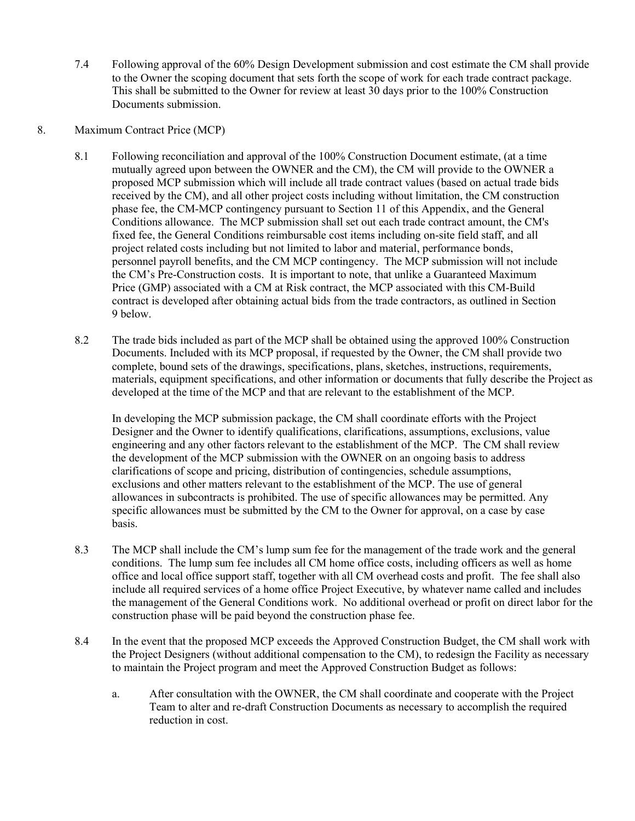7.4 Following approval of the 60% Design Development submission and cost estimate the CM shall provide to the Owner the scoping document that sets forth the scope of work for each trade contract package. This shall be submitted to the Owner for review at least 30 days prior to the 100% Construction Documents submission.

#### 8. Maximum Contract Price (MCP)

- 8.1 Following reconciliation and approval of the 100% Construction Document estimate, (at a time mutually agreed upon between the OWNER and the CM), the CM will provide to the OWNER a proposed MCP submission which will include all trade contract values (based on actual trade bids received by the CM), and all other project costs including without limitation, the CM construction phase fee, the CM-MCP contingency pursuant to Section 11 of this Appendix, and the General Conditions allowance. The MCP submission shall set out each trade contract amount, the CM's fixed fee, the General Conditions reimbursable cost items including on-site field staff, and all project related costs including but not limited to labor and material, performance bonds, personnel payroll benefits, and the CM MCP contingency. The MCP submission will not include the CM's Pre-Construction costs. It is important to note, that unlike a Guaranteed Maximum Price (GMP) associated with a CM at Risk contract, the MCP associated with this CM-Build contract is developed after obtaining actual bids from the trade contractors, as outlined in Section 9 below.
- 8.2 The trade bids included as part of the MCP shall be obtained using the approved 100% Construction Documents. Included with its MCP proposal, if requested by the Owner, the CM shall provide two complete, bound sets of the drawings, specifications, plans, sketches, instructions, requirements, materials, equipment specifications, and other information or documents that fully describe the Project as developed at the time of the MCP and that are relevant to the establishment of the MCP.

In developing the MCP submission package, the CM shall coordinate efforts with the Project Designer and the Owner to identify qualifications, clarifications, assumptions, exclusions, value engineering and any other factors relevant to the establishment of the MCP. The CM shall review the development of the MCP submission with the OWNER on an ongoing basis to address clarifications of scope and pricing, distribution of contingencies, schedule assumptions, exclusions and other matters relevant to the establishment of the MCP. The use of general allowances in subcontracts is prohibited. The use of specific allowances may be permitted. Any specific allowances must be submitted by the CM to the Owner for approval, on a case by case basis.

- 8.3 The MCP shall include the CM's lump sum fee for the management of the trade work and the general conditions. The lump sum fee includes all CM home office costs, including officers as well as home office and local office support staff, together with all CM overhead costs and profit. The fee shall also include all required services of a home office Project Executive, by whatever name called and includes the management of the General Conditions work. No additional overhead or profit on direct labor for the construction phase will be paid beyond the construction phase fee.
- 8.4 In the event that the proposed MCP exceeds the Approved Construction Budget, the CM shall work with the Project Designers (without additional compensation to the CM), to redesign the Facility as necessary to maintain the Project program and meet the Approved Construction Budget as follows:
	- a. After consultation with the OWNER, the CM shall coordinate and cooperate with the Project Team to alter and re-draft Construction Documents as necessary to accomplish the required reduction in cost.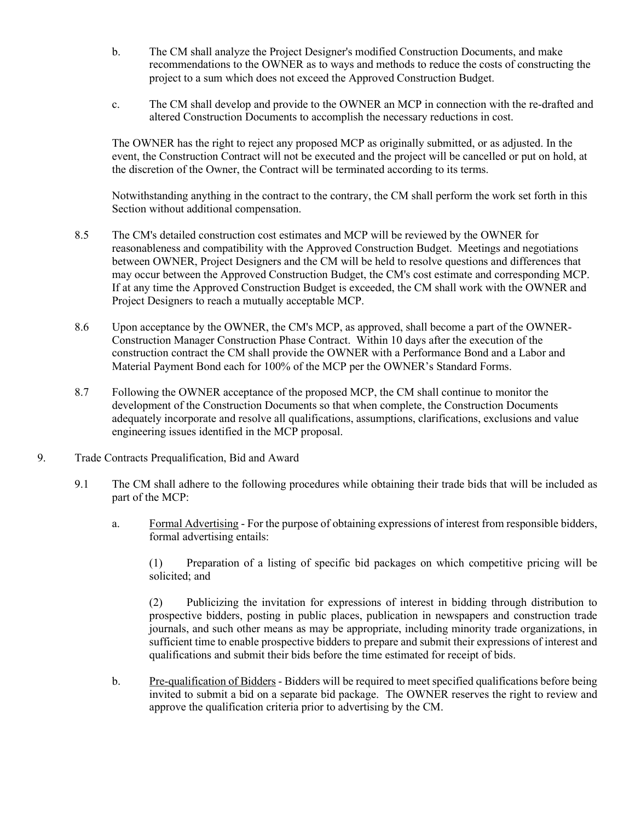- b. The CM shall analyze the Project Designer's modified Construction Documents, and make recommendations to the OWNER as to ways and methods to reduce the costs of constructing the project to a sum which does not exceed the Approved Construction Budget.
- c. The CM shall develop and provide to the OWNER an MCP in connection with the re-drafted and altered Construction Documents to accomplish the necessary reductions in cost.

The OWNER has the right to reject any proposed MCP as originally submitted, or as adjusted. In the event, the Construction Contract will not be executed and the project will be cancelled or put on hold, at the discretion of the Owner, the Contract will be terminated according to its terms.

Notwithstanding anything in the contract to the contrary, the CM shall perform the work set forth in this Section without additional compensation.

- 8.5 The CM's detailed construction cost estimates and MCP will be reviewed by the OWNER for reasonableness and compatibility with the Approved Construction Budget. Meetings and negotiations between OWNER, Project Designers and the CM will be held to resolve questions and differences that may occur between the Approved Construction Budget, the CM's cost estimate and corresponding MCP. If at any time the Approved Construction Budget is exceeded, the CM shall work with the OWNER and Project Designers to reach a mutually acceptable MCP.
- 8.6 Upon acceptance by the OWNER, the CM's MCP, as approved, shall become a part of the OWNER-Construction Manager Construction Phase Contract. Within 10 days after the execution of the construction contract the CM shall provide the OWNER with a Performance Bond and a Labor and Material Payment Bond each for 100% of the MCP per the OWNER's Standard Forms.
- 8.7 Following the OWNER acceptance of the proposed MCP, the CM shall continue to monitor the development of the Construction Documents so that when complete, the Construction Documents adequately incorporate and resolve all qualifications, assumptions, clarifications, exclusions and value engineering issues identified in the MCP proposal.
- 9. Trade Contracts Prequalification, Bid and Award
	- 9.1 The CM shall adhere to the following procedures while obtaining their trade bids that will be included as part of the MCP:
		- a. Formal Advertising For the purpose of obtaining expressions of interest from responsible bidders, formal advertising entails:

(1) Preparation of a listing of specific bid packages on which competitive pricing will be solicited; and

(2) Publicizing the invitation for expressions of interest in bidding through distribution to prospective bidders, posting in public places, publication in newspapers and construction trade journals, and such other means as may be appropriate, including minority trade organizations, in sufficient time to enable prospective bidders to prepare and submit their expressions of interest and qualifications and submit their bids before the time estimated for receipt of bids.

b. Pre-qualification of Bidders - Bidders will be required to meet specified qualifications before being invited to submit a bid on a separate bid package. The OWNER reserves the right to review and approve the qualification criteria prior to advertising by the CM.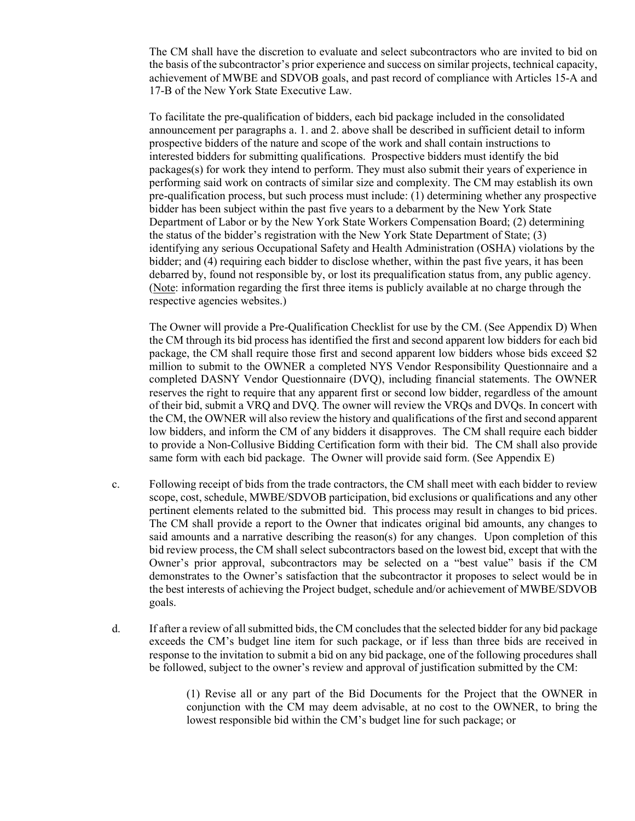The CM shall have the discretion to evaluate and select subcontractors who are invited to bid on the basis of the subcontractor's prior experience and success on similar projects, technical capacity, achievement of MWBE and SDVOB goals, and past record of compliance with Articles 15-A and 17-B of the New York State Executive Law.

To facilitate the pre-qualification of bidders, each bid package included in the consolidated announcement per paragraphs a. 1. and 2. above shall be described in sufficient detail to inform prospective bidders of the nature and scope of the work and shall contain instructions to interested bidders for submitting qualifications. Prospective bidders must identify the bid packages(s) for work they intend to perform. They must also submit their years of experience in performing said work on contracts of similar size and complexity. The CM may establish its own pre-qualification process, but such process must include: (1) determining whether any prospective bidder has been subject within the past five years to a debarment by the New York State Department of Labor or by the New York State Workers Compensation Board; (2) determining the status of the bidder's registration with the New York State Department of State; (3) identifying any serious Occupational Safety and Health Administration (OSHA) violations by the bidder; and (4) requiring each bidder to disclose whether, within the past five years, it has been debarred by, found not responsible by, or lost its prequalification status from, any public agency. (Note: information regarding the first three items is publicly available at no charge through the respective agencies websites.)

The Owner will provide a Pre-Qualification Checklist for use by the CM. (See Appendix D) When the CM through its bid process has identified the first and second apparent low bidders for each bid package, the CM shall require those first and second apparent low bidders whose bids exceed \$2 million to submit to the OWNER a completed NYS Vendor Responsibility Questionnaire and a completed DASNY Vendor Questionnaire (DVQ), including financial statements. The OWNER reserves the right to require that any apparent first or second low bidder, regardless of the amount of their bid, submit a VRQ and DVQ. The owner will review the VRQs and DVQs. In concert with the CM, the OWNER will also review the history and qualifications of the first and second apparent low bidders, and inform the CM of any bidders it disapproves. The CM shall require each bidder to provide a Non-Collusive Bidding Certification form with their bid. The CM shall also provide same form with each bid package. The Owner will provide said form. (See Appendix E)

- c. Following receipt of bids from the trade contractors, the CM shall meet with each bidder to review scope, cost, schedule, MWBE/SDVOB participation, bid exclusions or qualifications and any other pertinent elements related to the submitted bid. This process may result in changes to bid prices. The CM shall provide a report to the Owner that indicates original bid amounts, any changes to said amounts and a narrative describing the reason(s) for any changes. Upon completion of this bid review process, the CM shall select subcontractors based on the lowest bid, except that with the Owner's prior approval, subcontractors may be selected on a "best value" basis if the CM demonstrates to the Owner's satisfaction that the subcontractor it proposes to select would be in the best interests of achieving the Project budget, schedule and/or achievement of MWBE/SDVOB goals.
- d. If after a review of all submitted bids, the CM concludes that the selected bidder for any bid package exceeds the CM's budget line item for such package, or if less than three bids are received in response to the invitation to submit a bid on any bid package, one of the following procedures shall be followed, subject to the owner's review and approval of justification submitted by the CM:

(1) Revise all or any part of the Bid Documents for the Project that the OWNER in conjunction with the CM may deem advisable, at no cost to the OWNER, to bring the lowest responsible bid within the CM's budget line for such package; or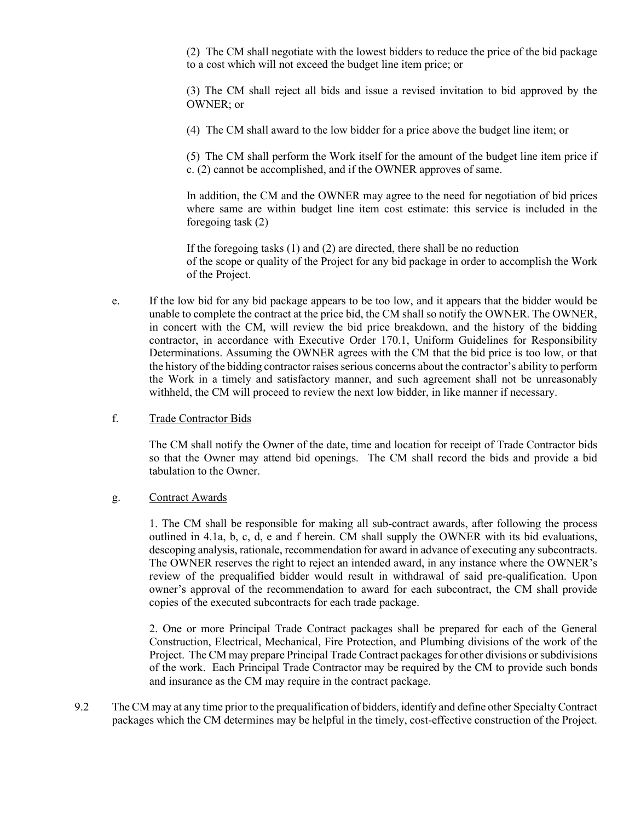(2) The CM shall negotiate with the lowest bidders to reduce the price of the bid package to a cost which will not exceed the budget line item price; or

(3) The CM shall reject all bids and issue a revised invitation to bid approved by the OWNER; or

(4) The CM shall award to the low bidder for a price above the budget line item; or

(5) The CM shall perform the Work itself for the amount of the budget line item price if c. (2) cannot be accomplished, and if the OWNER approves of same.

In addition, the CM and the OWNER may agree to the need for negotiation of bid prices where same are within budget line item cost estimate: this service is included in the foregoing task (2)

If the foregoing tasks (1) and (2) are directed, there shall be no reduction of the scope or quality of the Project for any bid package in order to accomplish the Work of the Project.

- e. If the low bid for any bid package appears to be too low, and it appears that the bidder would be unable to complete the contract at the price bid, the CM shall so notify the OWNER. The OWNER, in concert with the CM, will review the bid price breakdown, and the history of the bidding contractor, in accordance with Executive Order 170.1, Uniform Guidelines for Responsibility Determinations. Assuming the OWNER agrees with the CM that the bid price is too low, or that the history of the bidding contractor raises serious concerns about the contractor's ability to perform the Work in a timely and satisfactory manner, and such agreement shall not be unreasonably withheld, the CM will proceed to review the next low bidder, in like manner if necessary.
- f. Trade Contractor Bids

The CM shall notify the Owner of the date, time and location for receipt of Trade Contractor bids so that the Owner may attend bid openings. The CM shall record the bids and provide a bid tabulation to the Owner.

g. Contract Awards

1. The CM shall be responsible for making all sub-contract awards, after following the process outlined in 4.1a, b, c, d, e and f herein. CM shall supply the OWNER with its bid evaluations, descoping analysis, rationale, recommendation for award in advance of executing any subcontracts. The OWNER reserves the right to reject an intended award, in any instance where the OWNER's review of the prequalified bidder would result in withdrawal of said pre-qualification. Upon owner's approval of the recommendation to award for each subcontract, the CM shall provide copies of the executed subcontracts for each trade package.

2. One or more Principal Trade Contract packages shall be prepared for each of the General Construction, Electrical, Mechanical, Fire Protection, and Plumbing divisions of the work of the Project. The CM may prepare Principal Trade Contract packages for other divisions or subdivisions of the work. Each Principal Trade Contractor may be required by the CM to provide such bonds and insurance as the CM may require in the contract package.

9.2 The CM may at any time prior to the prequalification of bidders, identify and define other Specialty Contract packages which the CM determines may be helpful in the timely, cost-effective construction of the Project.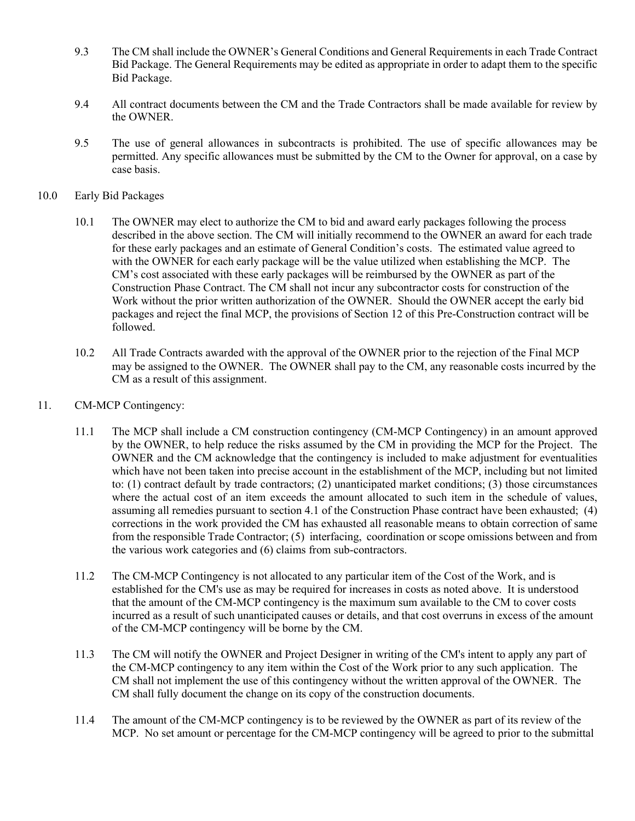- 9.3 The CM shall include the OWNER's General Conditions and General Requirements in each Trade Contract Bid Package. The General Requirements may be edited as appropriate in order to adapt them to the specific Bid Package.
- 9.4 All contract documents between the CM and the Trade Contractors shall be made available for review by the OWNER.
- 9.5 The use of general allowances in subcontracts is prohibited. The use of specific allowances may be permitted. Any specific allowances must be submitted by the CM to the Owner for approval, on a case by case basis.
- 10.0 Early Bid Packages
	- 10.1 The OWNER may elect to authorize the CM to bid and award early packages following the process described in the above section. The CM will initially recommend to the OWNER an award for each trade for these early packages and an estimate of General Condition's costs. The estimated value agreed to with the OWNER for each early package will be the value utilized when establishing the MCP. The CM's cost associated with these early packages will be reimbursed by the OWNER as part of the Construction Phase Contract. The CM shall not incur any subcontractor costs for construction of the Work without the prior written authorization of the OWNER. Should the OWNER accept the early bid packages and reject the final MCP, the provisions of Section 12 of this Pre-Construction contract will be followed.
	- 10.2 All Trade Contracts awarded with the approval of the OWNER prior to the rejection of the Final MCP may be assigned to the OWNER. The OWNER shall pay to the CM, any reasonable costs incurred by the CM as a result of this assignment.
- 11. CM-MCP Contingency:
	- 11.1 The MCP shall include a CM construction contingency (CM-MCP Contingency) in an amount approved by the OWNER, to help reduce the risks assumed by the CM in providing the MCP for the Project. The OWNER and the CM acknowledge that the contingency is included to make adjustment for eventualities which have not been taken into precise account in the establishment of the MCP, including but not limited to: (1) contract default by trade contractors; (2) unanticipated market conditions; (3) those circumstances where the actual cost of an item exceeds the amount allocated to such item in the schedule of values, assuming all remedies pursuant to section 4.1 of the Construction Phase contract have been exhausted; (4) corrections in the work provided the CM has exhausted all reasonable means to obtain correction of same from the responsible Trade Contractor; (5) interfacing, coordination or scope omissions between and from the various work categories and (6) claims from sub-contractors.
	- 11.2 The CM-MCP Contingency is not allocated to any particular item of the Cost of the Work, and is established for the CM's use as may be required for increases in costs as noted above. It is understood that the amount of the CM-MCP contingency is the maximum sum available to the CM to cover costs incurred as a result of such unanticipated causes or details, and that cost overruns in excess of the amount of the CM-MCP contingency will be borne by the CM.
	- 11.3 The CM will notify the OWNER and Project Designer in writing of the CM's intent to apply any part of the CM-MCP contingency to any item within the Cost of the Work prior to any such application. The CM shall not implement the use of this contingency without the written approval of the OWNER. The CM shall fully document the change on its copy of the construction documents.
	- 11.4 The amount of the CM-MCP contingency is to be reviewed by the OWNER as part of its review of the MCP. No set amount or percentage for the CM-MCP contingency will be agreed to prior to the submittal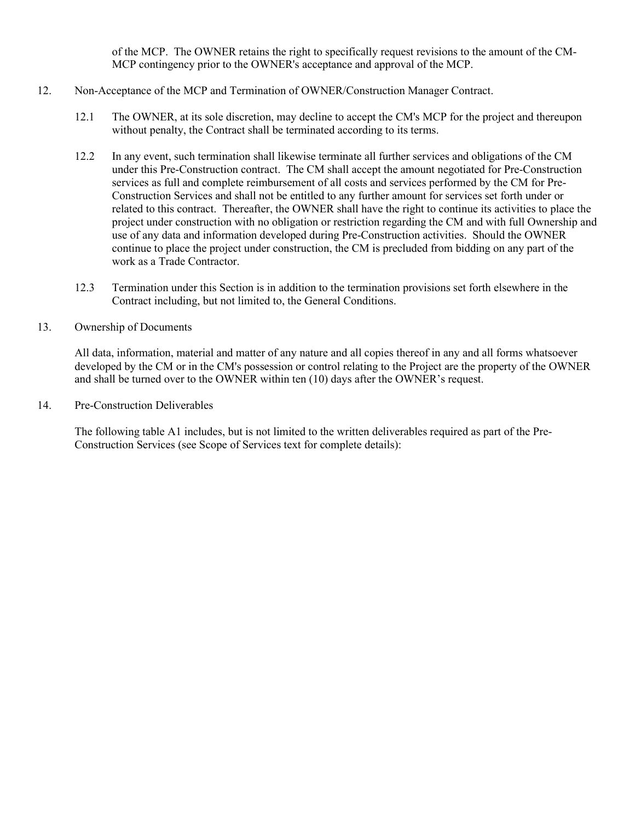of the MCP. The OWNER retains the right to specifically request revisions to the amount of the CM-MCP contingency prior to the OWNER's acceptance and approval of the MCP.

#### 12. Non-Acceptance of the MCP and Termination of OWNER/Construction Manager Contract.

- 12.1 The OWNER, at its sole discretion, may decline to accept the CM's MCP for the project and thereupon without penalty, the Contract shall be terminated according to its terms.
- 12.2 In any event, such termination shall likewise terminate all further services and obligations of the CM under this Pre-Construction contract. The CM shall accept the amount negotiated for Pre-Construction services as full and complete reimbursement of all costs and services performed by the CM for Pre-Construction Services and shall not be entitled to any further amount for services set forth under or related to this contract. Thereafter, the OWNER shall have the right to continue its activities to place the project under construction with no obligation or restriction regarding the CM and with full Ownership and use of any data and information developed during Pre-Construction activities. Should the OWNER continue to place the project under construction, the CM is precluded from bidding on any part of the work as a Trade Contractor.
- 12.3 Termination under this Section is in addition to the termination provisions set forth elsewhere in the Contract including, but not limited to, the General Conditions.
- 13. Ownership of Documents

All data, information, material and matter of any nature and all copies thereof in any and all forms whatsoever developed by the CM or in the CM's possession or control relating to the Project are the property of the OWNER and shall be turned over to the OWNER within ten (10) days after the OWNER's request.

14. Pre-Construction Deliverables

The following table A1 includes, but is not limited to the written deliverables required as part of the Pre-Construction Services (see Scope of Services text for complete details):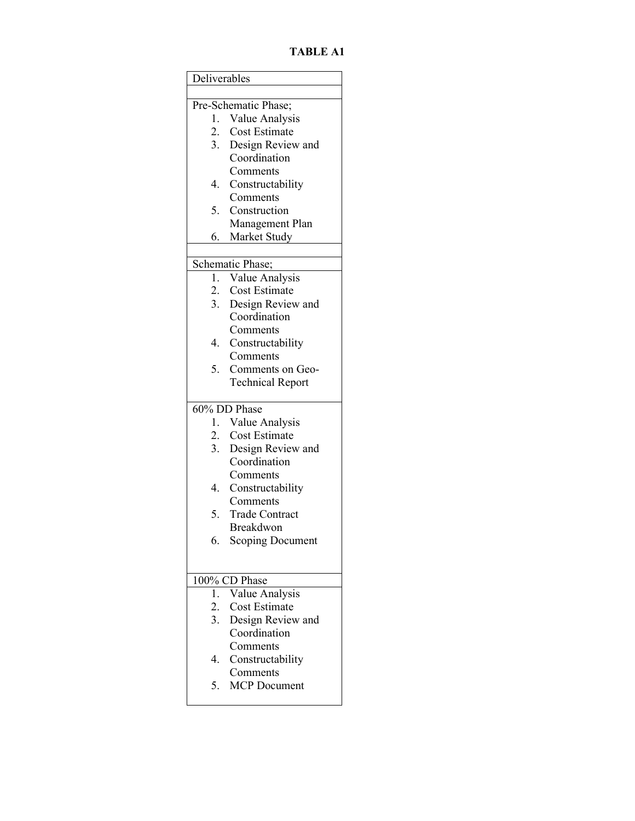**TABLE A1** 

| Deliverables     |                                        |
|------------------|----------------------------------------|
|                  |                                        |
|                  | Pre-Schematic Phase;                   |
| 1.               | Value Analysis<br><b>Cost Estimate</b> |
| 2.               |                                        |
| 3.               | Design Review and<br>Coordination      |
|                  |                                        |
| 4.               | Comments                               |
|                  | Constructability<br>Comments           |
| 5.               | Construction                           |
|                  | Management Plan                        |
| 6.               | Market Study                           |
|                  |                                        |
|                  | Schematic Phase;                       |
| 1.               | Value Analysis                         |
| 2.               | Cost Estimate                          |
| 3.               | Design Review and                      |
|                  | Coordination                           |
|                  | Comments                               |
| 4.               | Constructability                       |
|                  | Comments                               |
| 5.               | Comments on Geo-                       |
|                  | <b>Technical Report</b>                |
|                  |                                        |
| 1.               | $60\%$ DD Phase                        |
| 2.               | Value Analysis<br>Cost Estimate        |
| 3.               | Design Review and                      |
|                  | Coordination                           |
|                  | Comments                               |
| 4.               | Constructability                       |
|                  | Comments                               |
| 5.               | <b>Trade Contract</b>                  |
|                  | Breakdwon                              |
| 6.               | <b>Scoping Document</b>                |
|                  |                                        |
|                  |                                        |
|                  | 100% CD Phase                          |
| 1.               | Value Analysis                         |
| 2.               | <b>Cost Estimate</b>                   |
| $\overline{3}$ . | Design Review and                      |
|                  | Coordination                           |
|                  | Comments                               |
| 4.               | Constructability                       |
|                  | Comments                               |
| 5.               | <b>MCP</b> Document                    |
|                  |                                        |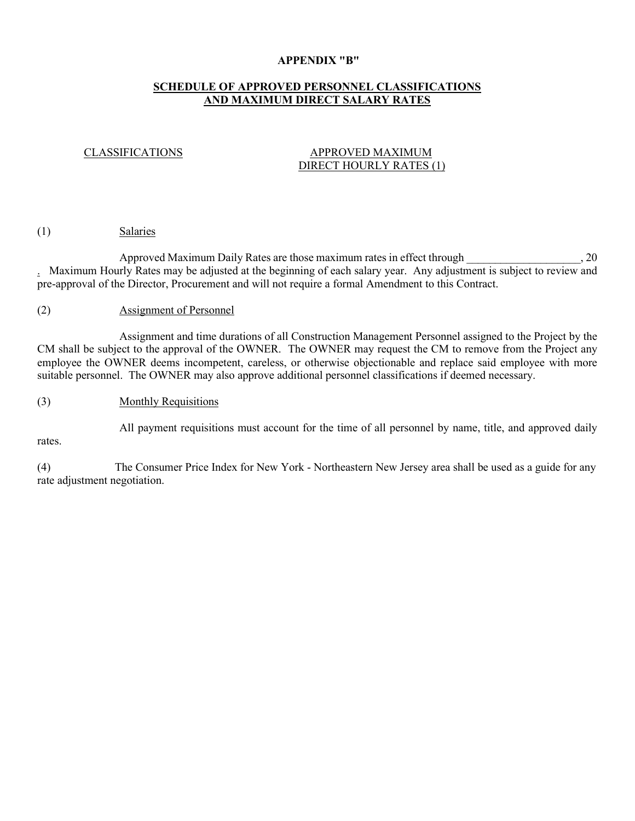#### **APPENDIX "B"**

## **SCHEDULE OF APPROVED PERSONNEL CLASSIFICATIONS AND MAXIMUM DIRECT SALARY RATES**

#### CLASSIFICATIONS APPROVED MAXIMUM DIRECT HOURLY RATES (1)

#### (1) Salaries

Approved Maximum Daily Rates are those maximum rates in effect through  $\sim$ , 20 . Maximum Hourly Rates may be adjusted at the beginning of each salary year. Any adjustment is subject to review and pre-approval of the Director, Procurement and will not require a formal Amendment to this Contract.

#### (2) Assignment of Personnel

Assignment and time durations of all Construction Management Personnel assigned to the Project by the CM shall be subject to the approval of the OWNER. The OWNER may request the CM to remove from the Project any employee the OWNER deems incompetent, careless, or otherwise objectionable and replace said employee with more suitable personnel. The OWNER may also approve additional personnel classifications if deemed necessary.

#### (3) Monthly Requisitions

All payment requisitions must account for the time of all personnel by name, title, and approved daily

rates.

(4) The Consumer Price Index for New York - Northeastern New Jersey area shall be used as a guide for any rate adjustment negotiation.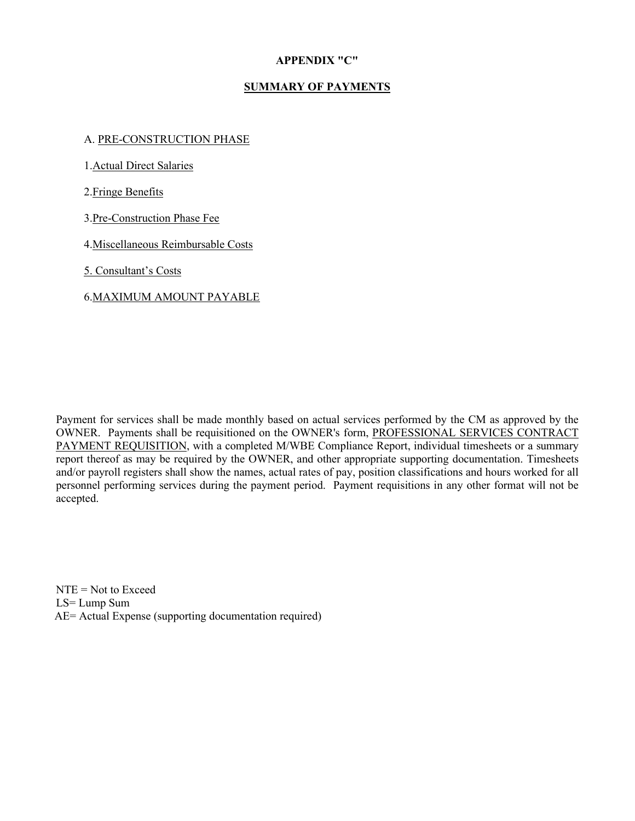#### **APPENDIX "C"**

## **SUMMARY OF PAYMENTS**

#### A. PRE-CONSTRUCTION PHASE

1.Actual Direct Salaries

2.Fringe Benefits

3.Pre-Construction Phase Fee

4.Miscellaneous Reimbursable Costs

5. Consultant's Costs

## 6.MAXIMUM AMOUNT PAYABLE

Payment for services shall be made monthly based on actual services performed by the CM as approved by the OWNER. Payments shall be requisitioned on the OWNER's form, PROFESSIONAL SERVICES CONTRACT PAYMENT REQUISITION, with a completed M/WBE Compliance Report, individual timesheets or a summary report thereof as may be required by the OWNER, and other appropriate supporting documentation. Timesheets and/or payroll registers shall show the names, actual rates of pay, position classifications and hours worked for all personnel performing services during the payment period. Payment requisitions in any other format will not be accepted.

 $NTE = Not to exceed$ LS= Lump Sum AE= Actual Expense (supporting documentation required)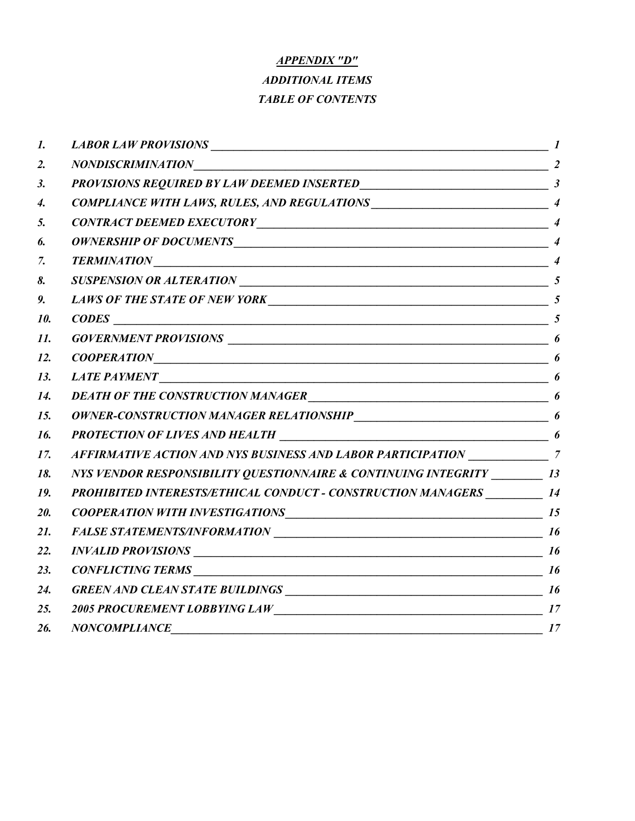# *APPENDIX "D" ADDITIONAL ITEMS TABLE OF CONTENTS*

| 1.  |                                                                                                                                                                                                                                                                                                                                                                                                              |    |
|-----|--------------------------------------------------------------------------------------------------------------------------------------------------------------------------------------------------------------------------------------------------------------------------------------------------------------------------------------------------------------------------------------------------------------|----|
| 2.  | $NONDISCRIMINATION$ 2                                                                                                                                                                                                                                                                                                                                                                                        |    |
| 3.  |                                                                                                                                                                                                                                                                                                                                                                                                              |    |
| 4.  |                                                                                                                                                                                                                                                                                                                                                                                                              |    |
| 5.  |                                                                                                                                                                                                                                                                                                                                                                                                              |    |
| 6.  |                                                                                                                                                                                                                                                                                                                                                                                                              |    |
| 7.  |                                                                                                                                                                                                                                                                                                                                                                                                              |    |
| 8.  | SUSPENSION OR ALTERATION                                                                                                                                                                                                                                                                                                                                                                                     |    |
| 9.  | LAWS OF THE STATE OF NEW YORK                                                                                                                                                                                                                                                                                                                                                                                |    |
| 10. | $\textit{CODES}$ $\overline{\qquad \qquad }$ $\qquad \qquad$ $\qquad \qquad$ $\qquad \qquad$ $\qquad \qquad$ $\qquad \qquad$ $\qquad \qquad$ $\qquad \qquad$ $\qquad \qquad$ $\qquad \qquad$ $\qquad \qquad$ $\qquad \qquad$ $\qquad \qquad$ $\qquad \qquad$ $\qquad \qquad$ $\qquad \qquad$ $\qquad \qquad$ $\qquad \qquad$ $\qquad \qquad$ $\qquad \qquad$ $\qquad \qquad$ $\qquad \qquad$ $\qquad \qquad$ |    |
| 11. | GOVERNMENT PROVISIONS $\qquad \qquad$ 6                                                                                                                                                                                                                                                                                                                                                                      |    |
| 12. | $\textit{COOPERATION}$ 6                                                                                                                                                                                                                                                                                                                                                                                     |    |
| 13. | LATE PAYMENT $\qquad \qquad$ 6                                                                                                                                                                                                                                                                                                                                                                               |    |
| 14. | DEATH OF THE CONSTRUCTION MANAGER<br>6                                                                                                                                                                                                                                                                                                                                                                       |    |
| 15. |                                                                                                                                                                                                                                                                                                                                                                                                              |    |
| 16. |                                                                                                                                                                                                                                                                                                                                                                                                              |    |
| 17. |                                                                                                                                                                                                                                                                                                                                                                                                              |    |
| 18. | NYS VENDOR RESPONSIBILITY QUESTIONNAIRE & CONTINUING INTEGRITY _________ 13                                                                                                                                                                                                                                                                                                                                  |    |
| 19. | PROHIBITED INTERESTS/ETHICAL CONDUCT - CONSTRUCTION MANAGERS _________ 14                                                                                                                                                                                                                                                                                                                                    |    |
| 20. | COOPERATION WITH INVESTIGATIONS 15                                                                                                                                                                                                                                                                                                                                                                           |    |
| 21. |                                                                                                                                                                                                                                                                                                                                                                                                              |    |
| 22. |                                                                                                                                                                                                                                                                                                                                                                                                              |    |
| 23. | $CONFLICTING TERMS$ $16$                                                                                                                                                                                                                                                                                                                                                                                     |    |
| 24. |                                                                                                                                                                                                                                                                                                                                                                                                              |    |
| 25. |                                                                                                                                                                                                                                                                                                                                                                                                              |    |
| 26. | <b>NONCOMPLIANCE</b>                                                                                                                                                                                                                                                                                                                                                                                         | 17 |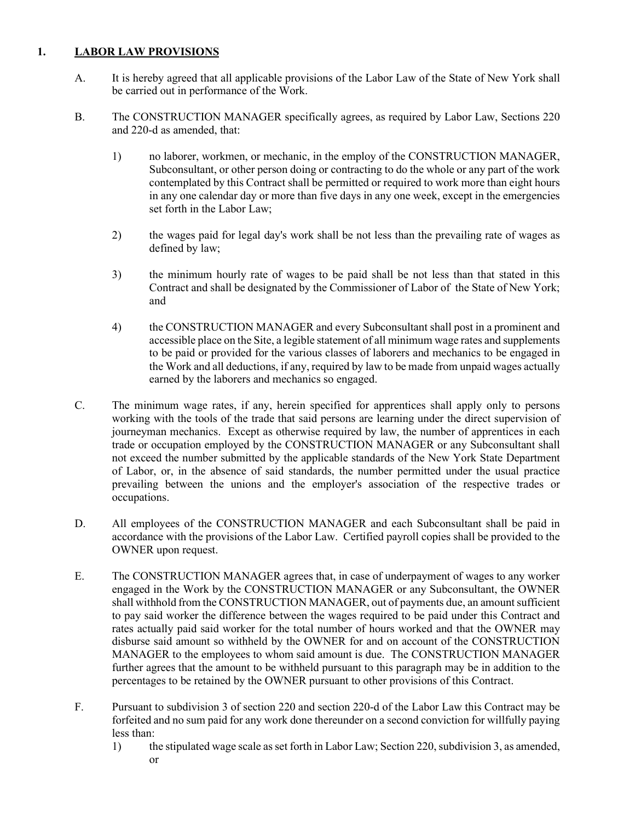## **1. LABOR LAW PROVISIONS**

- A. It is hereby agreed that all applicable provisions of the Labor Law of the State of New York shall be carried out in performance of the Work.
- B. The CONSTRUCTION MANAGER specifically agrees, as required by Labor Law, Sections 220 and 220-d as amended, that:
	- 1) no laborer, workmen, or mechanic, in the employ of the CONSTRUCTION MANAGER, Subconsultant, or other person doing or contracting to do the whole or any part of the work contemplated by this Contract shall be permitted or required to work more than eight hours in any one calendar day or more than five days in any one week, except in the emergencies set forth in the Labor Law;
	- 2) the wages paid for legal day's work shall be not less than the prevailing rate of wages as defined by law;
	- 3) the minimum hourly rate of wages to be paid shall be not less than that stated in this Contract and shall be designated by the Commissioner of Labor of the State of New York; and
	- 4) the CONSTRUCTION MANAGER and every Subconsultant shall post in a prominent and accessible place on the Site, a legible statement of all minimum wage rates and supplements to be paid or provided for the various classes of laborers and mechanics to be engaged in the Work and all deductions, if any, required by law to be made from unpaid wages actually earned by the laborers and mechanics so engaged.
- C. The minimum wage rates, if any, herein specified for apprentices shall apply only to persons working with the tools of the trade that said persons are learning under the direct supervision of journeyman mechanics. Except as otherwise required by law, the number of apprentices in each trade or occupation employed by the CONSTRUCTION MANAGER or any Subconsultant shall not exceed the number submitted by the applicable standards of the New York State Department of Labor, or, in the absence of said standards, the number permitted under the usual practice prevailing between the unions and the employer's association of the respective trades or occupations.
- D. All employees of the CONSTRUCTION MANAGER and each Subconsultant shall be paid in accordance with the provisions of the Labor Law. Certified payroll copies shall be provided to the OWNER upon request.
- E. The CONSTRUCTION MANAGER agrees that, in case of underpayment of wages to any worker engaged in the Work by the CONSTRUCTION MANAGER or any Subconsultant, the OWNER shall withhold from the CONSTRUCTION MANAGER, out of payments due, an amount sufficient to pay said worker the difference between the wages required to be paid under this Contract and rates actually paid said worker for the total number of hours worked and that the OWNER may disburse said amount so withheld by the OWNER for and on account of the CONSTRUCTION MANAGER to the employees to whom said amount is due. The CONSTRUCTION MANAGER further agrees that the amount to be withheld pursuant to this paragraph may be in addition to the percentages to be retained by the OWNER pursuant to other provisions of this Contract.
- F. Pursuant to subdivision 3 of section 220 and section 220-d of the Labor Law this Contract may be forfeited and no sum paid for any work done thereunder on a second conviction for willfully paying less than:
	- 1) the stipulated wage scale as set forth in Labor Law; Section 220, subdivision 3, as amended, or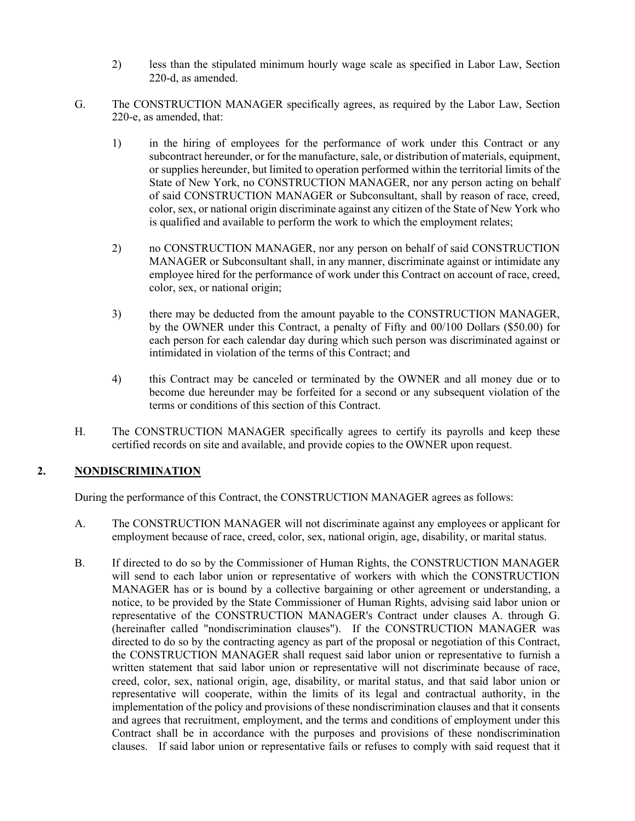- 2) less than the stipulated minimum hourly wage scale as specified in Labor Law, Section 220-d, as amended.
- G. The CONSTRUCTION MANAGER specifically agrees, as required by the Labor Law, Section 220-e, as amended, that:
	- 1) in the hiring of employees for the performance of work under this Contract or any subcontract hereunder, or for the manufacture, sale, or distribution of materials, equipment, or supplies hereunder, but limited to operation performed within the territorial limits of the State of New York, no CONSTRUCTION MANAGER, nor any person acting on behalf of said CONSTRUCTION MANAGER or Subconsultant, shall by reason of race, creed, color, sex, or national origin discriminate against any citizen of the State of New York who is qualified and available to perform the work to which the employment relates;
	- 2) no CONSTRUCTION MANAGER, nor any person on behalf of said CONSTRUCTION MANAGER or Subconsultant shall, in any manner, discriminate against or intimidate any employee hired for the performance of work under this Contract on account of race, creed, color, sex, or national origin;
	- 3) there may be deducted from the amount payable to the CONSTRUCTION MANAGER, by the OWNER under this Contract, a penalty of Fifty and 00/100 Dollars (\$50.00) for each person for each calendar day during which such person was discriminated against or intimidated in violation of the terms of this Contract; and
	- 4) this Contract may be canceled or terminated by the OWNER and all money due or to become due hereunder may be forfeited for a second or any subsequent violation of the terms or conditions of this section of this Contract.
- H. The CONSTRUCTION MANAGER specifically agrees to certify its payrolls and keep these certified records on site and available, and provide copies to the OWNER upon request.

## **2. NONDISCRIMINATION**

During the performance of this Contract, the CONSTRUCTION MANAGER agrees as follows:

- A. The CONSTRUCTION MANAGER will not discriminate against any employees or applicant for employment because of race, creed, color, sex, national origin, age, disability, or marital status.
- B. If directed to do so by the Commissioner of Human Rights, the CONSTRUCTION MANAGER will send to each labor union or representative of workers with which the CONSTRUCTION MANAGER has or is bound by a collective bargaining or other agreement or understanding, a notice, to be provided by the State Commissioner of Human Rights, advising said labor union or representative of the CONSTRUCTION MANAGER's Contract under clauses A. through G. (hereinafter called "nondiscrimination clauses"). If the CONSTRUCTION MANAGER was directed to do so by the contracting agency as part of the proposal or negotiation of this Contract, the CONSTRUCTION MANAGER shall request said labor union or representative to furnish a written statement that said labor union or representative will not discriminate because of race, creed, color, sex, national origin, age, disability, or marital status, and that said labor union or representative will cooperate, within the limits of its legal and contractual authority, in the implementation of the policy and provisions of these nondiscrimination clauses and that it consents and agrees that recruitment, employment, and the terms and conditions of employment under this Contract shall be in accordance with the purposes and provisions of these nondiscrimination clauses. If said labor union or representative fails or refuses to comply with said request that it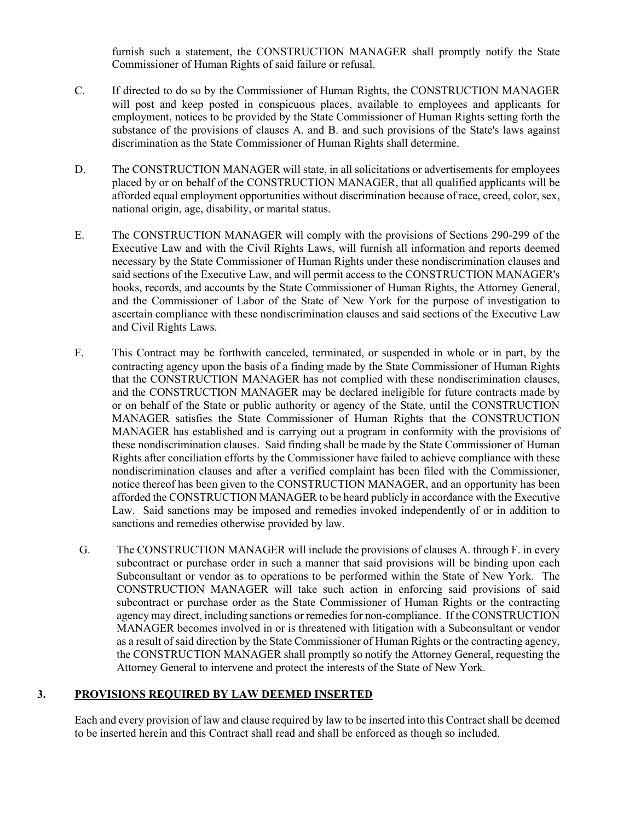furnish such a statement, the CONSTRUCTION MANAGER shall promptly notify the State Commissioner of Human Rights of said failure or refusal.

- C. If directed to do so by the Commissioner of Human Rights, the CONSTRUCTION MANAGER will post and keep posted in conspicuous places, available to employees and applicants for employment, notices to be provided by the State Commissioner of Human Rights setting forth the substance of the provisions of clauses A. and B. and such provisions of the State's laws against discrimination as the State Commissioner of Human Rights shall determine.
- D. The CONSTRUCTION MANAGER will state, in all solicitations or advertisements for employees placed by or on behalf of the CONSTRUCTION MANAGER, that all qualified applicants will be afforded equal employment opportunities without discrimination because of race, creed, color, sex, national origin, age, disability, or marital status.
- E. The CONSTRUCTION MANAGER will comply with the provisions of Sections 290-299 of the Executive Law and with the Civil Rights Laws, will furnish all information and reports deemed necessary by the State Commissioner of Human Rights under these nondiscrimination clauses and said sections of the Executive Law, and will permit access to the CONSTRUCTION MANAGER's books, records, and accounts by the State Commissioner of Human Rights, the Attorney General, and the Commissioner of Labor of the State of New York for the purpose of investigation to ascertain compliance with these nondiscrimination clauses and said sections of the Executive Law and Civil Rights Laws.
- F. This Contract may be forthwith canceled, terminated, or suspended in whole or in part, by the contracting agency upon the basis of a finding made by the State Commissioner of Human Rights that the CONSTRUCTION MANAGER has not complied with these nondiscrimination clauses, and the CONSTRUCTION MANAGER may be declared ineligible for future contracts made by or on behalf of the State or public authority or agency of the State, until the CONSTRUCTION MANAGER satisfies the State Commissioner of Human Rights that the CONSTRUCTION MANAGER has established and is carrying out a program in conformity with the provisions of these nondiscrimination clauses. Said finding shall be made by the State Commissioner of Human Rights after conciliation efforts by the Commissioner have failed to achieve compliance with these nondiscrimination clauses and after a verified complaint has been filed with the Commissioner, notice thereof has been given to the CONSTRUCTION MANAGER, and an opportunity has been afforded the CONSTRUCTION MANAGER to be heard publicly in accordance with the Executive Law. Said sanctions may be imposed and remedies invoked independently of or in addition to sanctions and remedies otherwise provided by law.
- G. The CONSTRUCTION MANAGER will include the provisions of clauses A. through F. in every subcontract or purchase order in such a manner that said provisions will be binding upon each Subconsultant or vendor as to operations to be performed within the State of New York. The CONSTRUCTION MANAGER will take such action in enforcing said provisions of said subcontract or purchase order as the State Commissioner of Human Rights or the contracting agency may direct, including sanctions or remedies for non-compliance. If the CONSTRUCTION MANAGER becomes involved in or is threatened with litigation with a Subconsultant or vendor as a result of said direction by the State Commissioner of Human Rights or the contracting agency, the CONSTRUCTION MANAGER shall promptly so notify the Attorney General, requesting the Attorney General to intervene and protect the interests of the State of New York.

#### **3. PROVISIONS REQUIRED BY LAW DEEMED INSERTED**

Each and every provision of law and clause required by law to be inserted into this Contract shall be deemed to be inserted herein and this Contract shall read and shall be enforced as though so included.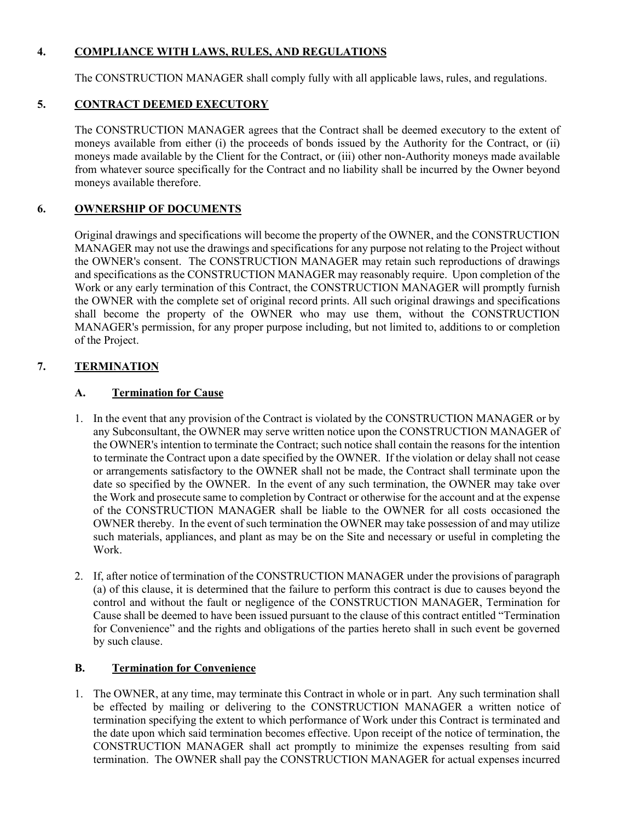## **4. COMPLIANCE WITH LAWS, RULES, AND REGULATIONS**

The CONSTRUCTION MANAGER shall comply fully with all applicable laws, rules, and regulations.

## **5. CONTRACT DEEMED EXECUTORY**

The CONSTRUCTION MANAGER agrees that the Contract shall be deemed executory to the extent of moneys available from either (i) the proceeds of bonds issued by the Authority for the Contract, or (ii) moneys made available by the Client for the Contract, or (iii) other non-Authority moneys made available from whatever source specifically for the Contract and no liability shall be incurred by the Owner beyond moneys available therefore.

## **6. OWNERSHIP OF DOCUMENTS**

Original drawings and specifications will become the property of the OWNER, and the CONSTRUCTION MANAGER may not use the drawings and specifications for any purpose not relating to the Project without the OWNER's consent. The CONSTRUCTION MANAGER may retain such reproductions of drawings and specifications as the CONSTRUCTION MANAGER may reasonably require. Upon completion of the Work or any early termination of this Contract, the CONSTRUCTION MANAGER will promptly furnish the OWNER with the complete set of original record prints. All such original drawings and specifications shall become the property of the OWNER who may use them, without the CONSTRUCTION MANAGER's permission, for any proper purpose including, but not limited to, additions to or completion of the Project.

## **7. TERMINATION**

## **A. Termination for Cause**

- 1. In the event that any provision of the Contract is violated by the CONSTRUCTION MANAGER or by any Subconsultant, the OWNER may serve written notice upon the CONSTRUCTION MANAGER of the OWNER's intention to terminate the Contract; such notice shall contain the reasons for the intention to terminate the Contract upon a date specified by the OWNER. If the violation or delay shall not cease or arrangements satisfactory to the OWNER shall not be made, the Contract shall terminate upon the date so specified by the OWNER. In the event of any such termination, the OWNER may take over the Work and prosecute same to completion by Contract or otherwise for the account and at the expense of the CONSTRUCTION MANAGER shall be liable to the OWNER for all costs occasioned the OWNER thereby. In the event of such termination the OWNER may take possession of and may utilize such materials, appliances, and plant as may be on the Site and necessary or useful in completing the Work.
- 2. If, after notice of termination of the CONSTRUCTION MANAGER under the provisions of paragraph (a) of this clause, it is determined that the failure to perform this contract is due to causes beyond the control and without the fault or negligence of the CONSTRUCTION MANAGER, Termination for Cause shall be deemed to have been issued pursuant to the clause of this contract entitled "Termination for Convenience" and the rights and obligations of the parties hereto shall in such event be governed by such clause.

## **B. Termination for Convenience**

1. The OWNER, at any time, may terminate this Contract in whole or in part. Any such termination shall be effected by mailing or delivering to the CONSTRUCTION MANAGER a written notice of termination specifying the extent to which performance of Work under this Contract is terminated and the date upon which said termination becomes effective. Upon receipt of the notice of termination, the CONSTRUCTION MANAGER shall act promptly to minimize the expenses resulting from said termination. The OWNER shall pay the CONSTRUCTION MANAGER for actual expenses incurred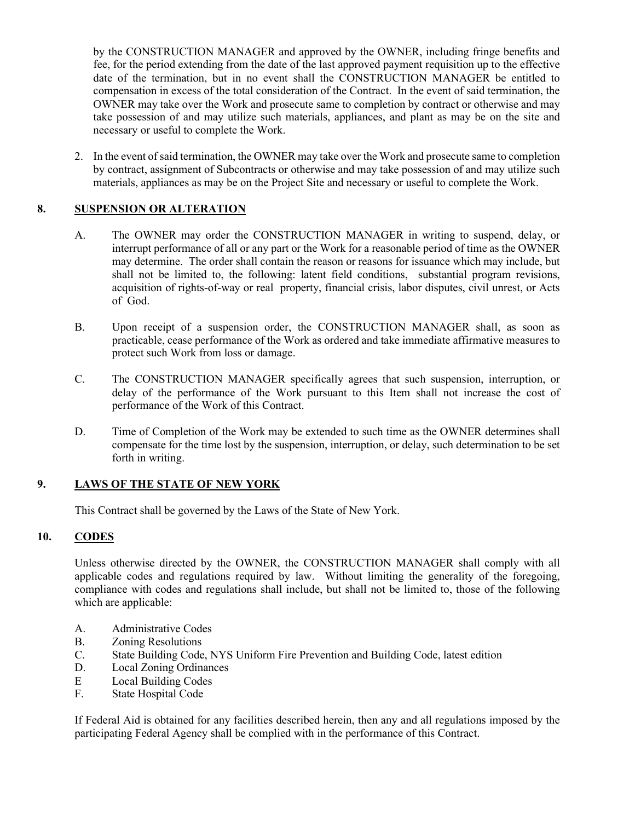by the CONSTRUCTION MANAGER and approved by the OWNER, including fringe benefits and fee, for the period extending from the date of the last approved payment requisition up to the effective date of the termination, but in no event shall the CONSTRUCTION MANAGER be entitled to compensation in excess of the total consideration of the Contract. In the event of said termination, the OWNER may take over the Work and prosecute same to completion by contract or otherwise and may take possession of and may utilize such materials, appliances, and plant as may be on the site and necessary or useful to complete the Work.

2. In the event of said termination, the OWNER may take over the Work and prosecute same to completion by contract, assignment of Subcontracts or otherwise and may take possession of and may utilize such materials, appliances as may be on the Project Site and necessary or useful to complete the Work.

## **8. SUSPENSION OR ALTERATION**

- A. The OWNER may order the CONSTRUCTION MANAGER in writing to suspend, delay, or interrupt performance of all or any part or the Work for a reasonable period of time as the OWNER may determine. The order shall contain the reason or reasons for issuance which may include, but shall not be limited to, the following: latent field conditions, substantial program revisions, acquisition of rights-of-way or real property, financial crisis, labor disputes, civil unrest, or Acts of God.
- B. Upon receipt of a suspension order, the CONSTRUCTION MANAGER shall, as soon as practicable, cease performance of the Work as ordered and take immediate affirmative measures to protect such Work from loss or damage.
- C. The CONSTRUCTION MANAGER specifically agrees that such suspension, interruption, or delay of the performance of the Work pursuant to this Item shall not increase the cost of performance of the Work of this Contract.
- D. Time of Completion of the Work may be extended to such time as the OWNER determines shall compensate for the time lost by the suspension, interruption, or delay, such determination to be set forth in writing.

## **9. LAWS OF THE STATE OF NEW YORK**

This Contract shall be governed by the Laws of the State of New York.

## **10. CODES**

Unless otherwise directed by the OWNER, the CONSTRUCTION MANAGER shall comply with all applicable codes and regulations required by law. Without limiting the generality of the foregoing, compliance with codes and regulations shall include, but shall not be limited to, those of the following which are applicable:

- A. Administrative Codes
- B. Zoning Resolutions
- C. State Building Code, NYS Uniform Fire Prevention and Building Code, latest edition
- D. Local Zoning Ordinances
- E Local Building Codes
- F. State Hospital Code

If Federal Aid is obtained for any facilities described herein, then any and all regulations imposed by the participating Federal Agency shall be complied with in the performance of this Contract.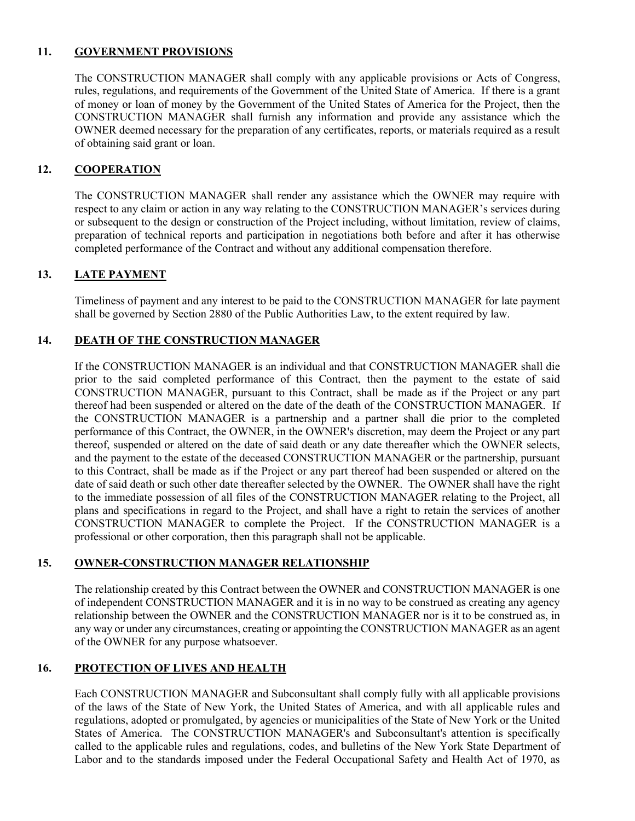## **11. GOVERNMENT PROVISIONS**

The CONSTRUCTION MANAGER shall comply with any applicable provisions or Acts of Congress, rules, regulations, and requirements of the Government of the United State of America. If there is a grant of money or loan of money by the Government of the United States of America for the Project, then the CONSTRUCTION MANAGER shall furnish any information and provide any assistance which the OWNER deemed necessary for the preparation of any certificates, reports, or materials required as a result of obtaining said grant or loan.

## **12. COOPERATION**

The CONSTRUCTION MANAGER shall render any assistance which the OWNER may require with respect to any claim or action in any way relating to the CONSTRUCTION MANAGER's services during or subsequent to the design or construction of the Project including, without limitation, review of claims, preparation of technical reports and participation in negotiations both before and after it has otherwise completed performance of the Contract and without any additional compensation therefore.

## **13. LATE PAYMENT**

Timeliness of payment and any interest to be paid to the CONSTRUCTION MANAGER for late payment shall be governed by Section 2880 of the Public Authorities Law, to the extent required by law.

#### **14. DEATH OF THE CONSTRUCTION MANAGER**

If the CONSTRUCTION MANAGER is an individual and that CONSTRUCTION MANAGER shall die prior to the said completed performance of this Contract, then the payment to the estate of said CONSTRUCTION MANAGER, pursuant to this Contract, shall be made as if the Project or any part thereof had been suspended or altered on the date of the death of the CONSTRUCTION MANAGER. If the CONSTRUCTION MANAGER is a partnership and a partner shall die prior to the completed performance of this Contract, the OWNER, in the OWNER's discretion, may deem the Project or any part thereof, suspended or altered on the date of said death or any date thereafter which the OWNER selects, and the payment to the estate of the deceased CONSTRUCTION MANAGER or the partnership, pursuant to this Contract, shall be made as if the Project or any part thereof had been suspended or altered on the date of said death or such other date thereafter selected by the OWNER. The OWNER shall have the right to the immediate possession of all files of the CONSTRUCTION MANAGER relating to the Project, all plans and specifications in regard to the Project, and shall have a right to retain the services of another CONSTRUCTION MANAGER to complete the Project. If the CONSTRUCTION MANAGER is a professional or other corporation, then this paragraph shall not be applicable.

#### **15. OWNER-CONSTRUCTION MANAGER RELATIONSHIP**

The relationship created by this Contract between the OWNER and CONSTRUCTION MANAGER is one of independent CONSTRUCTION MANAGER and it is in no way to be construed as creating any agency relationship between the OWNER and the CONSTRUCTION MANAGER nor is it to be construed as, in any way or under any circumstances, creating or appointing the CONSTRUCTION MANAGER as an agent of the OWNER for any purpose whatsoever.

### **16. PROTECTION OF LIVES AND HEALTH**

Each CONSTRUCTION MANAGER and Subconsultant shall comply fully with all applicable provisions of the laws of the State of New York, the United States of America, and with all applicable rules and regulations, adopted or promulgated, by agencies or municipalities of the State of New York or the United States of America. The CONSTRUCTION MANAGER's and Subconsultant's attention is specifically called to the applicable rules and regulations, codes, and bulletins of the New York State Department of Labor and to the standards imposed under the Federal Occupational Safety and Health Act of 1970, as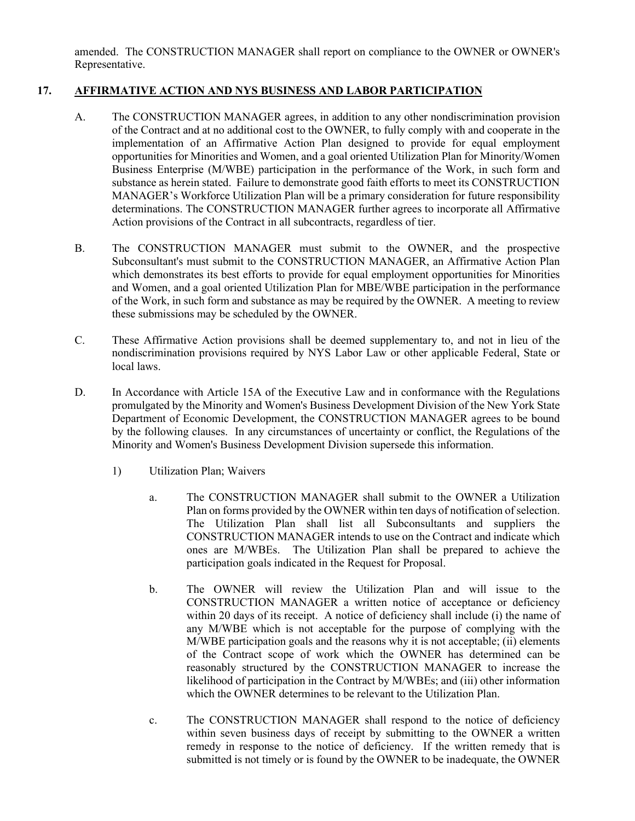amended. The CONSTRUCTION MANAGER shall report on compliance to the OWNER or OWNER's Representative.

## **17. AFFIRMATIVE ACTION AND NYS BUSINESS AND LABOR PARTICIPATION**

- A. The CONSTRUCTION MANAGER agrees, in addition to any other nondiscrimination provision of the Contract and at no additional cost to the OWNER, to fully comply with and cooperate in the implementation of an Affirmative Action Plan designed to provide for equal employment opportunities for Minorities and Women, and a goal oriented Utilization Plan for Minority/Women Business Enterprise (M/WBE) participation in the performance of the Work, in such form and substance as herein stated. Failure to demonstrate good faith efforts to meet its CONSTRUCTION MANAGER's Workforce Utilization Plan will be a primary consideration for future responsibility determinations. The CONSTRUCTION MANAGER further agrees to incorporate all Affirmative Action provisions of the Contract in all subcontracts, regardless of tier.
- B. The CONSTRUCTION MANAGER must submit to the OWNER, and the prospective Subconsultant's must submit to the CONSTRUCTION MANAGER, an Affirmative Action Plan which demonstrates its best efforts to provide for equal employment opportunities for Minorities and Women, and a goal oriented Utilization Plan for MBE/WBE participation in the performance of the Work, in such form and substance as may be required by the OWNER. A meeting to review these submissions may be scheduled by the OWNER.
- C. These Affirmative Action provisions shall be deemed supplementary to, and not in lieu of the nondiscrimination provisions required by NYS Labor Law or other applicable Federal, State or local laws.
- D. In Accordance with Article 15A of the Executive Law and in conformance with the Regulations promulgated by the Minority and Women's Business Development Division of the New York State Department of Economic Development, the CONSTRUCTION MANAGER agrees to be bound by the following clauses. In any circumstances of uncertainty or conflict, the Regulations of the Minority and Women's Business Development Division supersede this information.
	- 1) Utilization Plan; Waivers
		- a. The CONSTRUCTION MANAGER shall submit to the OWNER a Utilization Plan on forms provided by the OWNER within ten days of notification of selection. The Utilization Plan shall list all Subconsultants and suppliers the CONSTRUCTION MANAGER intends to use on the Contract and indicate which ones are M/WBEs. The Utilization Plan shall be prepared to achieve the participation goals indicated in the Request for Proposal.
		- b. The OWNER will review the Utilization Plan and will issue to the CONSTRUCTION MANAGER a written notice of acceptance or deficiency within 20 days of its receipt. A notice of deficiency shall include (i) the name of any M/WBE which is not acceptable for the purpose of complying with the M/WBE participation goals and the reasons why it is not acceptable; (ii) elements of the Contract scope of work which the OWNER has determined can be reasonably structured by the CONSTRUCTION MANAGER to increase the likelihood of participation in the Contract by M/WBEs; and (iii) other information which the OWNER determines to be relevant to the Utilization Plan.
		- c. The CONSTRUCTION MANAGER shall respond to the notice of deficiency within seven business days of receipt by submitting to the OWNER a written remedy in response to the notice of deficiency. If the written remedy that is submitted is not timely or is found by the OWNER to be inadequate, the OWNER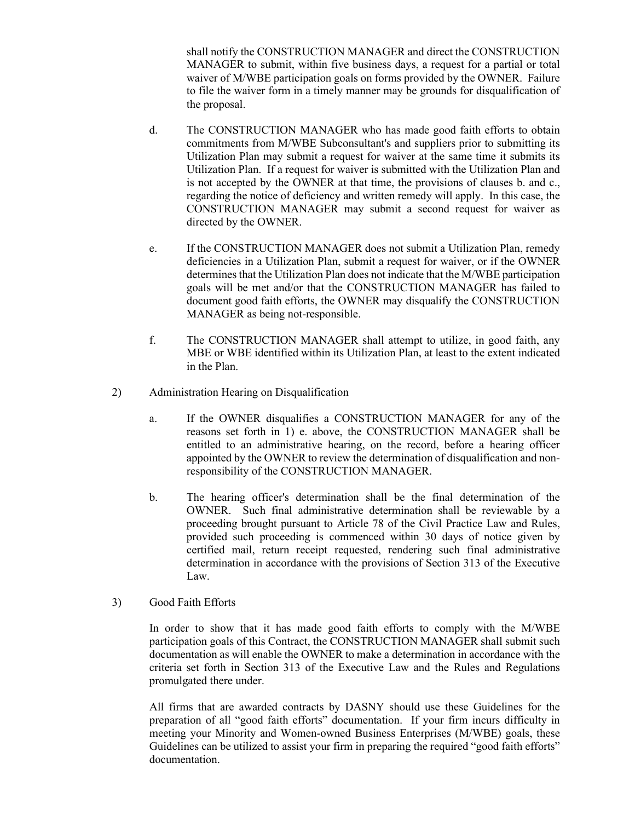shall notify the CONSTRUCTION MANAGER and direct the CONSTRUCTION MANAGER to submit, within five business days, a request for a partial or total waiver of M/WBE participation goals on forms provided by the OWNER. Failure to file the waiver form in a timely manner may be grounds for disqualification of the proposal.

- d. The CONSTRUCTION MANAGER who has made good faith efforts to obtain commitments from M/WBE Subconsultant's and suppliers prior to submitting its Utilization Plan may submit a request for waiver at the same time it submits its Utilization Plan. If a request for waiver is submitted with the Utilization Plan and is not accepted by the OWNER at that time, the provisions of clauses b. and c., regarding the notice of deficiency and written remedy will apply. In this case, the CONSTRUCTION MANAGER may submit a second request for waiver as directed by the OWNER.
- e. If the CONSTRUCTION MANAGER does not submit a Utilization Plan, remedy deficiencies in a Utilization Plan, submit a request for waiver, or if the OWNER determines that the Utilization Plan does not indicate that the M/WBE participation goals will be met and/or that the CONSTRUCTION MANAGER has failed to document good faith efforts, the OWNER may disqualify the CONSTRUCTION MANAGER as being not-responsible.
- f. The CONSTRUCTION MANAGER shall attempt to utilize, in good faith, any MBE or WBE identified within its Utilization Plan, at least to the extent indicated in the Plan.
- 2) Administration Hearing on Disqualification
	- a. If the OWNER disqualifies a CONSTRUCTION MANAGER for any of the reasons set forth in 1) e. above, the CONSTRUCTION MANAGER shall be entitled to an administrative hearing, on the record, before a hearing officer appointed by the OWNER to review the determination of disqualification and nonresponsibility of the CONSTRUCTION MANAGER.
	- b. The hearing officer's determination shall be the final determination of the OWNER. Such final administrative determination shall be reviewable by a proceeding brought pursuant to Article 78 of the Civil Practice Law and Rules, provided such proceeding is commenced within 30 days of notice given by certified mail, return receipt requested, rendering such final administrative determination in accordance with the provisions of Section 313 of the Executive Law.
- 3) Good Faith Efforts

In order to show that it has made good faith efforts to comply with the M/WBE participation goals of this Contract, the CONSTRUCTION MANAGER shall submit such documentation as will enable the OWNER to make a determination in accordance with the criteria set forth in Section 313 of the Executive Law and the Rules and Regulations promulgated there under.

All firms that are awarded contracts by DASNY should use these Guidelines for the preparation of all "good faith efforts" documentation. If your firm incurs difficulty in meeting your Minority and Women-owned Business Enterprises (M/WBE) goals, these Guidelines can be utilized to assist your firm in preparing the required "good faith efforts" documentation.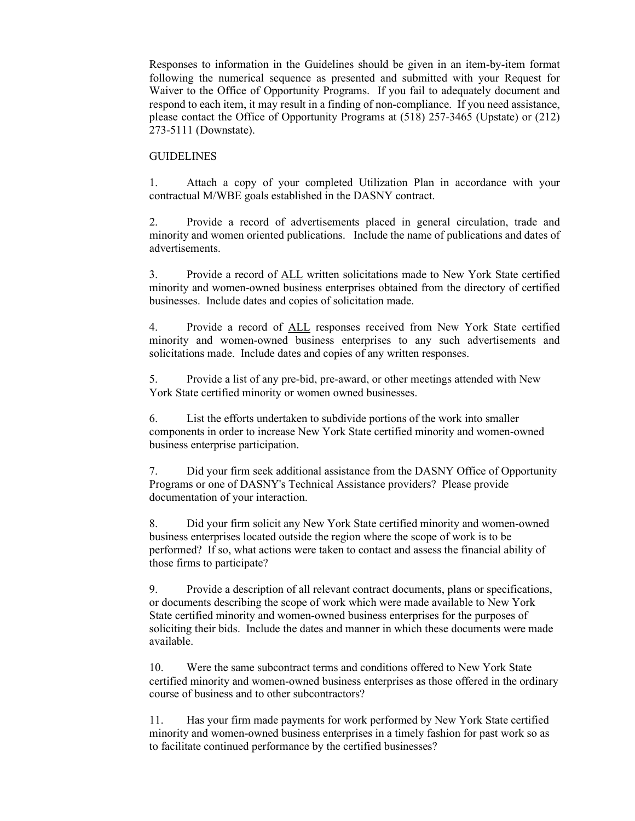Responses to information in the Guidelines should be given in an item-by-item format following the numerical sequence as presented and submitted with your Request for Waiver to the Office of Opportunity Programs. If you fail to adequately document and respond to each item, it may result in a finding of non-compliance. If you need assistance, please contact the Office of Opportunity Programs at (518) 257-3465 (Upstate) or (212) 273-5111 (Downstate).

#### **GUIDELINES**

1. Attach a copy of your completed Utilization Plan in accordance with your contractual M/WBE goals established in the DASNY contract.

2. Provide a record of advertisements placed in general circulation, trade and minority and women oriented publications. Include the name of publications and dates of advertisements.

3. Provide a record of ALL written solicitations made to New York State certified minority and women-owned business enterprises obtained from the directory of certified businesses. Include dates and copies of solicitation made.

4. Provide a record of ALL responses received from New York State certified minority and women-owned business enterprises to any such advertisements and solicitations made. Include dates and copies of any written responses.

5. Provide a list of any pre-bid, pre-award, or other meetings attended with New York State certified minority or women owned businesses.

6. List the efforts undertaken to subdivide portions of the work into smaller components in order to increase New York State certified minority and women-owned business enterprise participation.

7. Did your firm seek additional assistance from the DASNY Office of Opportunity Programs or one of DASNY's Technical Assistance providers? Please provide documentation of your interaction.

8. Did your firm solicit any New York State certified minority and women-owned business enterprises located outside the region where the scope of work is to be performed? If so, what actions were taken to contact and assess the financial ability of those firms to participate?

9. Provide a description of all relevant contract documents, plans or specifications, or documents describing the scope of work which were made available to New York State certified minority and women-owned business enterprises for the purposes of soliciting their bids. Include the dates and manner in which these documents were made available.

10. Were the same subcontract terms and conditions offered to New York State certified minority and women-owned business enterprises as those offered in the ordinary course of business and to other subcontractors?

11. Has your firm made payments for work performed by New York State certified minority and women-owned business enterprises in a timely fashion for past work so as to facilitate continued performance by the certified businesses?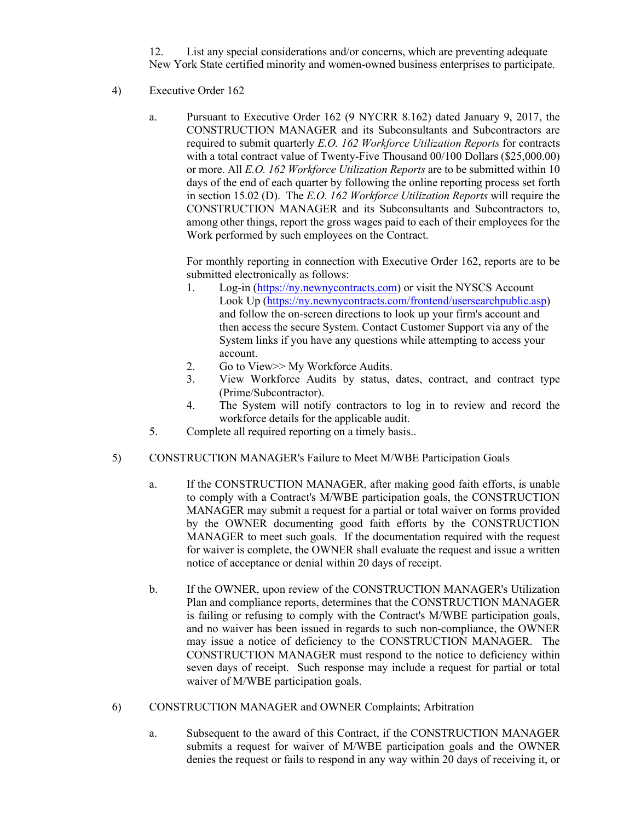12. List any special considerations and/or concerns, which are preventing adequate New York State certified minority and women-owned business enterprises to participate.

- 4) Executive Order 162
	- a. Pursuant to Executive Order 162 (9 NYCRR 8.162) dated January 9, 2017, the CONSTRUCTION MANAGER and its Subconsultants and Subcontractors are required to submit quarterly *E.O. 162 Workforce Utilization Reports* for contracts with a total contract value of Twenty-Five Thousand 00/100 Dollars (\$25,000.00) or more. All *E.O. 162 Workforce Utilization Reports* are to be submitted within 10 days of the end of each quarter by following the online reporting process set forth in section 15.02 (D). The *E.O. 162 Workforce Utilization Reports* will require the CONSTRUCTION MANAGER and its Subconsultants and Subcontractors to, among other things, report the gross wages paid to each of their employees for the Work performed by such employees on the Contract.

For monthly reporting in connection with Executive Order 162, reports are to be submitted electronically as follows:

- 1. Log-in [\(https://ny.newnycontracts.com\)](https://ny.newnycontracts.com/) or visit the NYSCS Account Look Up [\(https://ny.newnycontracts.com/frontend/usersearchpublic.asp\)](https://ny.newnycontracts.com/frontend/usersearchpublic.asp) and follow the on-screen directions to look up your firm's account and then access the secure System. Contact Customer Support via any of the System links if you have any questions while attempting to access your account.
- 2. Go to View >> My Workforce Audits.
- 3. View Workforce Audits by status, dates, contract, and contract type (Prime/Subcontractor).
- 4. The System will notify contractors to log in to review and record the workforce details for the applicable audit.
- 5. Complete all required reporting on a timely basis..
- 5) CONSTRUCTION MANAGER's Failure to Meet M/WBE Participation Goals
	- a. If the CONSTRUCTION MANAGER, after making good faith efforts, is unable to comply with a Contract's M/WBE participation goals, the CONSTRUCTION MANAGER may submit a request for a partial or total waiver on forms provided by the OWNER documenting good faith efforts by the CONSTRUCTION MANAGER to meet such goals. If the documentation required with the request for waiver is complete, the OWNER shall evaluate the request and issue a written notice of acceptance or denial within 20 days of receipt.
	- b. If the OWNER, upon review of the CONSTRUCTION MANAGER's Utilization Plan and compliance reports, determines that the CONSTRUCTION MANAGER is failing or refusing to comply with the Contract's M/WBE participation goals, and no waiver has been issued in regards to such non-compliance, the OWNER may issue a notice of deficiency to the CONSTRUCTION MANAGER. The CONSTRUCTION MANAGER must respond to the notice to deficiency within seven days of receipt. Such response may include a request for partial or total waiver of M/WBE participation goals.
- 6) CONSTRUCTION MANAGER and OWNER Complaints; Arbitration
	- a. Subsequent to the award of this Contract, if the CONSTRUCTION MANAGER submits a request for waiver of M/WBE participation goals and the OWNER denies the request or fails to respond in any way within 20 days of receiving it, or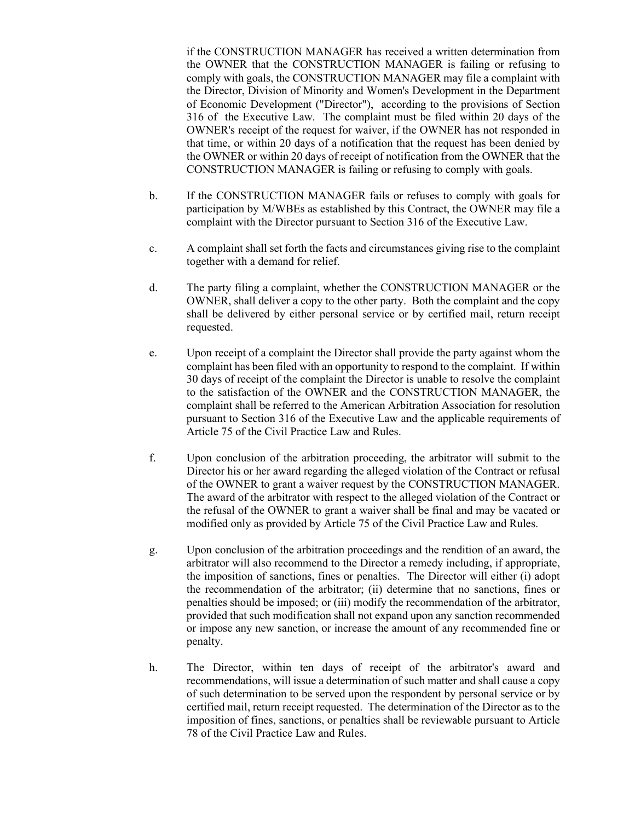if the CONSTRUCTION MANAGER has received a written determination from the OWNER that the CONSTRUCTION MANAGER is failing or refusing to comply with goals, the CONSTRUCTION MANAGER may file a complaint with the Director, Division of Minority and Women's Development in the Department of Economic Development ("Director"), according to the provisions of Section 316 of the Executive Law. The complaint must be filed within 20 days of the OWNER's receipt of the request for waiver, if the OWNER has not responded in that time, or within 20 days of a notification that the request has been denied by the OWNER or within 20 days of receipt of notification from the OWNER that the CONSTRUCTION MANAGER is failing or refusing to comply with goals.

- b. If the CONSTRUCTION MANAGER fails or refuses to comply with goals for participation by M/WBEs as established by this Contract, the OWNER may file a complaint with the Director pursuant to Section 316 of the Executive Law.
- c. A complaint shall set forth the facts and circumstances giving rise to the complaint together with a demand for relief.
- d. The party filing a complaint, whether the CONSTRUCTION MANAGER or the OWNER, shall deliver a copy to the other party. Both the complaint and the copy shall be delivered by either personal service or by certified mail, return receipt requested.
- e. Upon receipt of a complaint the Director shall provide the party against whom the complaint has been filed with an opportunity to respond to the complaint. If within 30 days of receipt of the complaint the Director is unable to resolve the complaint to the satisfaction of the OWNER and the CONSTRUCTION MANAGER, the complaint shall be referred to the American Arbitration Association for resolution pursuant to Section 316 of the Executive Law and the applicable requirements of Article 75 of the Civil Practice Law and Rules.
- f. Upon conclusion of the arbitration proceeding, the arbitrator will submit to the Director his or her award regarding the alleged violation of the Contract or refusal of the OWNER to grant a waiver request by the CONSTRUCTION MANAGER. The award of the arbitrator with respect to the alleged violation of the Contract or the refusal of the OWNER to grant a waiver shall be final and may be vacated or modified only as provided by Article 75 of the Civil Practice Law and Rules.
- g. Upon conclusion of the arbitration proceedings and the rendition of an award, the arbitrator will also recommend to the Director a remedy including, if appropriate, the imposition of sanctions, fines or penalties. The Director will either (i) adopt the recommendation of the arbitrator; (ii) determine that no sanctions, fines or penalties should be imposed; or (iii) modify the recommendation of the arbitrator, provided that such modification shall not expand upon any sanction recommended or impose any new sanction, or increase the amount of any recommended fine or penalty.
- h. The Director, within ten days of receipt of the arbitrator's award and recommendations, will issue a determination of such matter and shall cause a copy of such determination to be served upon the respondent by personal service or by certified mail, return receipt requested. The determination of the Director as to the imposition of fines, sanctions, or penalties shall be reviewable pursuant to Article 78 of the Civil Practice Law and Rules.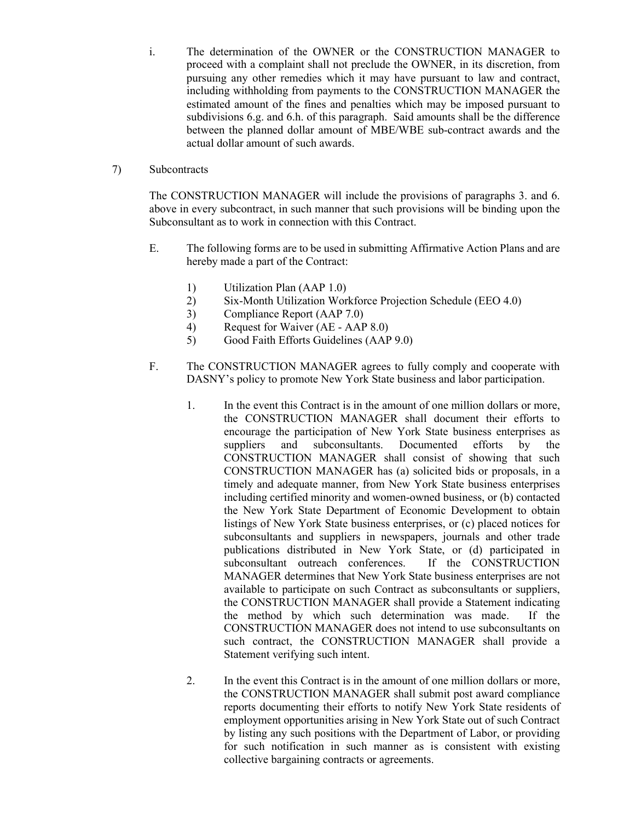i. The determination of the OWNER or the CONSTRUCTION MANAGER to proceed with a complaint shall not preclude the OWNER, in its discretion, from pursuing any other remedies which it may have pursuant to law and contract, including withholding from payments to the CONSTRUCTION MANAGER the estimated amount of the fines and penalties which may be imposed pursuant to subdivisions 6.g. and 6.h. of this paragraph. Said amounts shall be the difference between the planned dollar amount of MBE/WBE sub-contract awards and the actual dollar amount of such awards.

#### 7) Subcontracts

The CONSTRUCTION MANAGER will include the provisions of paragraphs 3. and 6. above in every subcontract, in such manner that such provisions will be binding upon the Subconsultant as to work in connection with this Contract.

- E. The following forms are to be used in submitting Affirmative Action Plans and are hereby made a part of the Contract:
	- 1) Utilization Plan (AAP 1.0)
	- 2) Six-Month Utilization Workforce Projection Schedule (EEO 4.0)
	- 3) Compliance Report (AAP 7.0)
	- 4) Request for Waiver (AE AAP 8.0)
	- 5) Good Faith Efforts Guidelines (AAP 9.0)
- F. The CONSTRUCTION MANAGER agrees to fully comply and cooperate with DASNY's policy to promote New York State business and labor participation.
	- 1. In the event this Contract is in the amount of one million dollars or more, the CONSTRUCTION MANAGER shall document their efforts to encourage the participation of New York State business enterprises as suppliers and subconsultants. Documented efforts by the CONSTRUCTION MANAGER shall consist of showing that such CONSTRUCTION MANAGER has (a) solicited bids or proposals, in a timely and adequate manner, from New York State business enterprises including certified minority and women-owned business, or (b) contacted the New York State Department of Economic Development to obtain listings of New York State business enterprises, or (c) placed notices for subconsultants and suppliers in newspapers, journals and other trade publications distributed in New York State, or (d) participated in subconsultant outreach conferences. If the CONSTRUCTION MANAGER determines that New York State business enterprises are not available to participate on such Contract as subconsultants or suppliers, the CONSTRUCTION MANAGER shall provide a Statement indicating the method by which such determination was made. If the CONSTRUCTION MANAGER does not intend to use subconsultants on such contract, the CONSTRUCTION MANAGER shall provide a Statement verifying such intent.
	- 2. In the event this Contract is in the amount of one million dollars or more, the CONSTRUCTION MANAGER shall submit post award compliance reports documenting their efforts to notify New York State residents of employment opportunities arising in New York State out of such Contract by listing any such positions with the Department of Labor, or providing for such notification in such manner as is consistent with existing collective bargaining contracts or agreements.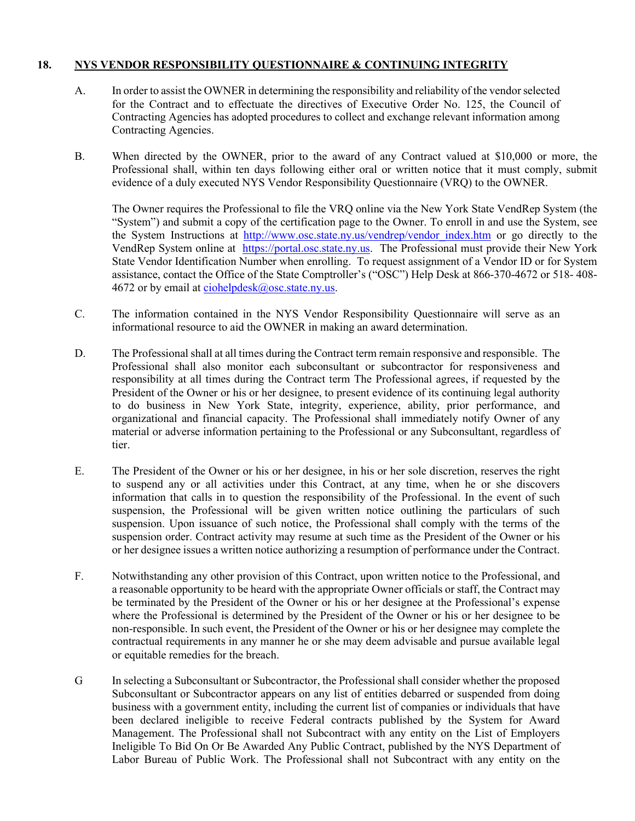## **18. NYS VENDOR RESPONSIBILITY QUESTIONNAIRE & CONTINUING INTEGRITY**

- A. In order to assist the OWNER in determining the responsibility and reliability of the vendor selected for the Contract and to effectuate the directives of Executive Order No. 125, the Council of Contracting Agencies has adopted procedures to collect and exchange relevant information among Contracting Agencies.
- B. When directed by the OWNER, prior to the award of any Contract valued at \$10,000 or more, the Professional shall, within ten days following either oral or written notice that it must comply, submit evidence of a duly executed NYS Vendor Responsibility Questionnaire (VRQ) to the OWNER.

The Owner requires the Professional to file the VRQ online via the New York State VendRep System (the "System") and submit a copy of the certification page to the Owner. To enroll in and use the System, see the System Instructions at http://www.osc.state.ny.us/vendrep/vendor index.htm or go directly to the VendRep System online at [https://portal.osc.state.ny.us.](https://portal.osc.state.ny.us/) The Professional must provide their New York State Vendor Identification Number when enrolling. To request assignment of a Vendor ID or for System assistance, contact the Office of the State Comptroller's ("OSC") Help Desk at 866-370-4672 or 518- 408- 4672 or by email at ciohelpdesk $(a)$ osc.state.ny.us.

- C. The information contained in the NYS Vendor Responsibility Questionnaire will serve as an informational resource to aid the OWNER in making an award determination.
- D. The Professional shall at all times during the Contract term remain responsive and responsible. The Professional shall also monitor each subconsultant or subcontractor for responsiveness and responsibility at all times during the Contract term The Professional agrees, if requested by the President of the Owner or his or her designee, to present evidence of its continuing legal authority to do business in New York State, integrity, experience, ability, prior performance, and organizational and financial capacity. The Professional shall immediately notify Owner of any material or adverse information pertaining to the Professional or any Subconsultant, regardless of tier.
- E. The President of the Owner or his or her designee, in his or her sole discretion, reserves the right to suspend any or all activities under this Contract, at any time, when he or she discovers information that calls in to question the responsibility of the Professional. In the event of such suspension, the Professional will be given written notice outlining the particulars of such suspension. Upon issuance of such notice, the Professional shall comply with the terms of the suspension order. Contract activity may resume at such time as the President of the Owner or his or her designee issues a written notice authorizing a resumption of performance under the Contract.
- F. Notwithstanding any other provision of this Contract, upon written notice to the Professional, and a reasonable opportunity to be heard with the appropriate Owner officials or staff, the Contract may be terminated by the President of the Owner or his or her designee at the Professional's expense where the Professional is determined by the President of the Owner or his or her designee to be non-responsible. In such event, the President of the Owner or his or her designee may complete the contractual requirements in any manner he or she may deem advisable and pursue available legal or equitable remedies for the breach.
- G In selecting a Subconsultant or Subcontractor, the Professional shall consider whether the proposed Subconsultant or Subcontractor appears on any list of entities debarred or suspended from doing business with a government entity, including the current list of companies or individuals that have been declared ineligible to receive Federal contracts published by the System for Award Management. The Professional shall not Subcontract with any entity on the List of Employers Ineligible To Bid On Or Be Awarded Any Public Contract, published by the NYS Department of Labor Bureau of Public Work. The Professional shall not Subcontract with any entity on the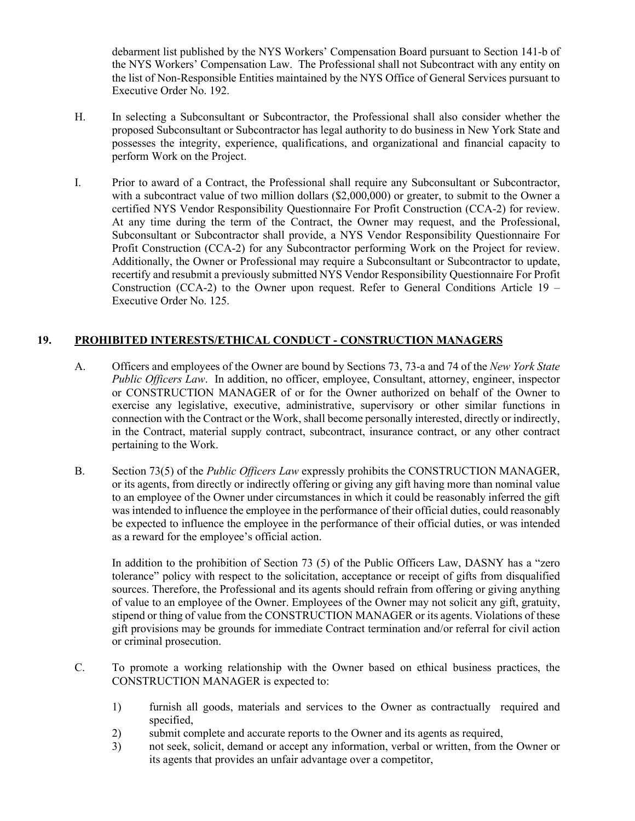debarment list published by the NYS Workers' Compensation Board pursuant to Section 141-b of the NYS Workers' Compensation Law. The Professional shall not Subcontract with any entity on the list of Non-Responsible Entities maintained by the NYS Office of General Services pursuant to Executive Order No. 192.

- H. In selecting a Subconsultant or Subcontractor, the Professional shall also consider whether the proposed Subconsultant or Subcontractor has legal authority to do business in New York State and possesses the integrity, experience, qualifications, and organizational and financial capacity to perform Work on the Project.
- I. Prior to award of a Contract, the Professional shall require any Subconsultant or Subcontractor, with a subcontract value of two million dollars (\$2,000,000) or greater, to submit to the Owner a certified NYS Vendor Responsibility Questionnaire For Profit Construction (CCA-2) for review. At any time during the term of the Contract, the Owner may request, and the Professional, Subconsultant or Subcontractor shall provide, a NYS Vendor Responsibility Questionnaire For Profit Construction (CCA-2) for any Subcontractor performing Work on the Project for review. Additionally, the Owner or Professional may require a Subconsultant or Subcontractor to update, recertify and resubmit a previously submitted NYS Vendor Responsibility Questionnaire For Profit Construction (CCA-2) to the Owner upon request. Refer to General Conditions Article  $19 -$ Executive Order No. 125.

## **19. PROHIBITED INTERESTS/ETHICAL CONDUCT - CONSTRUCTION MANAGERS**

- A. Officers and employees of the Owner are bound by Sections 73, 73-a and 74 of the *New York State Public Officers Law*. In addition, no officer, employee, Consultant, attorney, engineer, inspector or CONSTRUCTION MANAGER of or for the Owner authorized on behalf of the Owner to exercise any legislative, executive, administrative, supervisory or other similar functions in connection with the Contract or the Work, shall become personally interested, directly or indirectly, in the Contract, material supply contract, subcontract, insurance contract, or any other contract pertaining to the Work.
- B. Section 73(5) of the *Public Officers Law* expressly prohibits the CONSTRUCTION MANAGER, or its agents, from directly or indirectly offering or giving any gift having more than nominal value to an employee of the Owner under circumstances in which it could be reasonably inferred the gift was intended to influence the employee in the performance of their official duties, could reasonably be expected to influence the employee in the performance of their official duties, or was intended as a reward for the employee's official action.

In addition to the prohibition of Section 73 (5) of the Public Officers Law, DASNY has a "zero tolerance" policy with respect to the solicitation, acceptance or receipt of gifts from disqualified sources. Therefore, the Professional and its agents should refrain from offering or giving anything of value to an employee of the Owner. Employees of the Owner may not solicit any gift, gratuity, stipend or thing of value from the CONSTRUCTION MANAGER or its agents. Violations of these gift provisions may be grounds for immediate Contract termination and/or referral for civil action or criminal prosecution.

- C. To promote a working relationship with the Owner based on ethical business practices, the CONSTRUCTION MANAGER is expected to:
	- 1) furnish all goods, materials and services to the Owner as contractually required and specified,
	- 2) submit complete and accurate reports to the Owner and its agents as required,
	- 3) not seek, solicit, demand or accept any information, verbal or written, from the Owner or its agents that provides an unfair advantage over a competitor,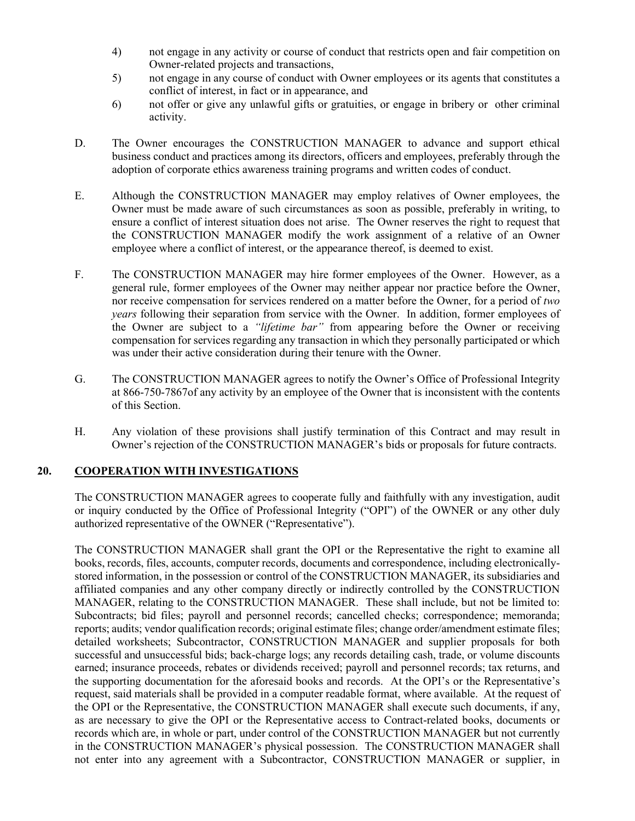- 4) not engage in any activity or course of conduct that restricts open and fair competition on Owner-related projects and transactions,
- 5) not engage in any course of conduct with Owner employees or its agents that constitutes a conflict of interest, in fact or in appearance, and
- 6) not offer or give any unlawful gifts or gratuities, or engage in bribery or other criminal activity.
- D. The Owner encourages the CONSTRUCTION MANAGER to advance and support ethical business conduct and practices among its directors, officers and employees, preferably through the adoption of corporate ethics awareness training programs and written codes of conduct.
- E. Although the CONSTRUCTION MANAGER may employ relatives of Owner employees, the Owner must be made aware of such circumstances as soon as possible, preferably in writing, to ensure a conflict of interest situation does not arise. The Owner reserves the right to request that the CONSTRUCTION MANAGER modify the work assignment of a relative of an Owner employee where a conflict of interest, or the appearance thereof, is deemed to exist.
- F. The CONSTRUCTION MANAGER may hire former employees of the Owner. However, as a general rule, former employees of the Owner may neither appear nor practice before the Owner, nor receive compensation for services rendered on a matter before the Owner, for a period of *two years* following their separation from service with the Owner. In addition, former employees of the Owner are subject to a *"lifetime bar"* from appearing before the Owner or receiving compensation for services regarding any transaction in which they personally participated or which was under their active consideration during their tenure with the Owner.
- G. The CONSTRUCTION MANAGER agrees to notify the Owner's Office of Professional Integrity at 866-750-7867of any activity by an employee of the Owner that is inconsistent with the contents of this Section.
- H. Any violation of these provisions shall justify termination of this Contract and may result in Owner's rejection of the CONSTRUCTION MANAGER's bids or proposals for future contracts.

#### **20. COOPERATION WITH INVESTIGATIONS**

The CONSTRUCTION MANAGER agrees to cooperate fully and faithfully with any investigation, audit or inquiry conducted by the Office of Professional Integrity ("OPI") of the OWNER or any other duly authorized representative of the OWNER ("Representative").

The CONSTRUCTION MANAGER shall grant the OPI or the Representative the right to examine all books, records, files, accounts, computer records, documents and correspondence, including electronicallystored information, in the possession or control of the CONSTRUCTION MANAGER, its subsidiaries and affiliated companies and any other company directly or indirectly controlled by the CONSTRUCTION MANAGER, relating to the CONSTRUCTION MANAGER. These shall include, but not be limited to: Subcontracts; bid files; payroll and personnel records; cancelled checks; correspondence; memoranda; reports; audits; vendor qualification records; original estimate files; change order/amendment estimate files; detailed worksheets; Subcontractor, CONSTRUCTION MANAGER and supplier proposals for both successful and unsuccessful bids; back-charge logs; any records detailing cash, trade, or volume discounts earned; insurance proceeds, rebates or dividends received; payroll and personnel records; tax returns, and the supporting documentation for the aforesaid books and records. At the OPI's or the Representative's request, said materials shall be provided in a computer readable format, where available. At the request of the OPI or the Representative, the CONSTRUCTION MANAGER shall execute such documents, if any, as are necessary to give the OPI or the Representative access to Contract-related books, documents or records which are, in whole or part, under control of the CONSTRUCTION MANAGER but not currently in the CONSTRUCTION MANAGER's physical possession. The CONSTRUCTION MANAGER shall not enter into any agreement with a Subcontractor, CONSTRUCTION MANAGER or supplier, in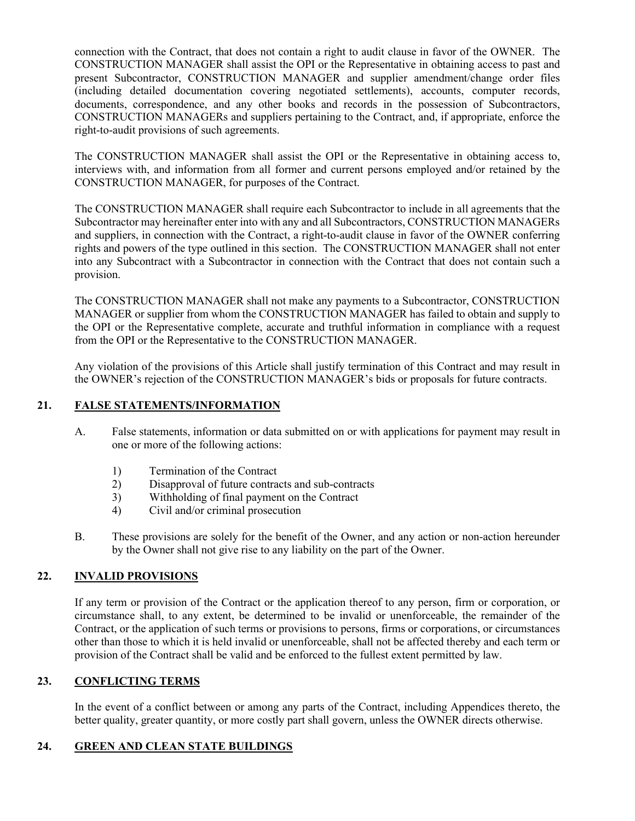connection with the Contract, that does not contain a right to audit clause in favor of the OWNER. The CONSTRUCTION MANAGER shall assist the OPI or the Representative in obtaining access to past and present Subcontractor, CONSTRUCTION MANAGER and supplier amendment/change order files (including detailed documentation covering negotiated settlements), accounts, computer records, documents, correspondence, and any other books and records in the possession of Subcontractors, CONSTRUCTION MANAGERs and suppliers pertaining to the Contract, and, if appropriate, enforce the right-to-audit provisions of such agreements.

The CONSTRUCTION MANAGER shall assist the OPI or the Representative in obtaining access to, interviews with, and information from all former and current persons employed and/or retained by the CONSTRUCTION MANAGER, for purposes of the Contract.

The CONSTRUCTION MANAGER shall require each Subcontractor to include in all agreements that the Subcontractor may hereinafter enter into with any and all Subcontractors, CONSTRUCTION MANAGERs and suppliers, in connection with the Contract, a right-to-audit clause in favor of the OWNER conferring rights and powers of the type outlined in this section. The CONSTRUCTION MANAGER shall not enter into any Subcontract with a Subcontractor in connection with the Contract that does not contain such a provision.

The CONSTRUCTION MANAGER shall not make any payments to a Subcontractor, CONSTRUCTION MANAGER or supplier from whom the CONSTRUCTION MANAGER has failed to obtain and supply to the OPI or the Representative complete, accurate and truthful information in compliance with a request from the OPI or the Representative to the CONSTRUCTION MANAGER.

Any violation of the provisions of this Article shall justify termination of this Contract and may result in the OWNER's rejection of the CONSTRUCTION MANAGER's bids or proposals for future contracts.

## **21. FALSE STATEMENTS/INFORMATION**

- A. False statements, information or data submitted on or with applications for payment may result in one or more of the following actions:
	- 1) Termination of the Contract
	- 2) Disapproval of future contracts and sub-contracts
	- 3) Withholding of final payment on the Contract
	- 4) Civil and/or criminal prosecution
- B. These provisions are solely for the benefit of the Owner, and any action or non-action hereunder by the Owner shall not give rise to any liability on the part of the Owner.

## **22. INVALID PROVISIONS**

If any term or provision of the Contract or the application thereof to any person, firm or corporation, or circumstance shall, to any extent, be determined to be invalid or unenforceable, the remainder of the Contract, or the application of such terms or provisions to persons, firms or corporations, or circumstances other than those to which it is held invalid or unenforceable, shall not be affected thereby and each term or provision of the Contract shall be valid and be enforced to the fullest extent permitted by law.

## **23. CONFLICTING TERMS**

In the event of a conflict between or among any parts of the Contract, including Appendices thereto, the better quality, greater quantity, or more costly part shall govern, unless the OWNER directs otherwise.

## **24. GREEN AND CLEAN STATE BUILDINGS**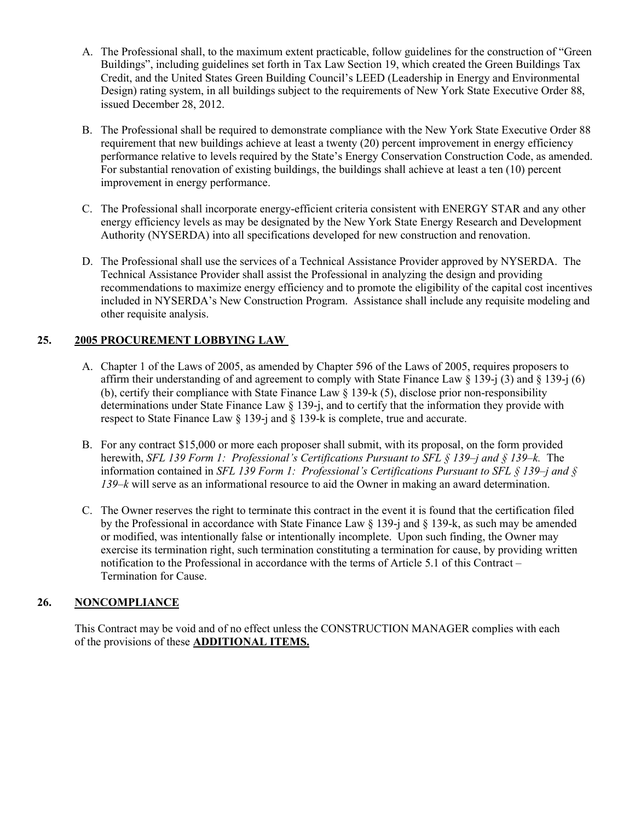- A. The Professional shall, to the maximum extent practicable, follow guidelines for the construction of "Green Buildings", including guidelines set forth in Tax Law Section 19, which created the Green Buildings Tax Credit, and the United States Green Building Council's LEED (Leadership in Energy and Environmental Design) rating system, in all buildings subject to the requirements of New York State Executive Order 88, issued December 28, 2012.
- B. The Professional shall be required to demonstrate compliance with the New York State Executive Order 88 requirement that new buildings achieve at least a twenty (20) percent improvement in energy efficiency performance relative to levels required by the State's Energy Conservation Construction Code, as amended. For substantial renovation of existing buildings, the buildings shall achieve at least a ten (10) percent improvement in energy performance.
- C. The Professional shall incorporate energy-efficient criteria consistent with ENERGY STAR and any other energy efficiency levels as may be designated by the New York State Energy Research and Development Authority (NYSERDA) into all specifications developed for new construction and renovation.
- D. The Professional shall use the services of a Technical Assistance Provider approved by NYSERDA. The Technical Assistance Provider shall assist the Professional in analyzing the design and providing recommendations to maximize energy efficiency and to promote the eligibility of the capital cost incentives included in NYSERDA's New Construction Program. Assistance shall include any requisite modeling and other requisite analysis.

## **25. 2005 PROCUREMENT LOBBYING LAW**

- A. Chapter 1 of the Laws of 2005, as amended by Chapter 596 of the Laws of 2005, requires proposers to affirm their understanding of and agreement to comply with State Finance Law  $\S 139$ -j  $\S 139$ -j  $\S 139$ -j  $\S 6$ ) (b), certify their compliance with State Finance Law § 139-k (5), disclose prior non-responsibility determinations under State Finance Law § 139-j, and to certify that the information they provide with respect to State Finance Law § 139-j and § 139-k is complete, true and accurate.
- B. For any contract \$15,000 or more each proposer shall submit, with its proposal, on the form provided herewith, *SFL 139 Form 1: Professional's Certifications Pursuant to SFL § 139–j and § 139–k.* The information contained in *SFL 139 Form 1: Professional's Certifications Pursuant to SFL § 139–j and § 139–k* will serve as an informational resource to aid the Owner in making an award determination.
- C. The Owner reserves the right to terminate this contract in the event it is found that the certification filed by the Professional in accordance with State Finance Law  $\S$  139-j and  $\S$  139-k, as such may be amended or modified, was intentionally false or intentionally incomplete. Upon such finding, the Owner may exercise its termination right, such termination constituting a termination for cause, by providing written notification to the Professional in accordance with the terms of Article 5.1 of this Contract – Termination for Cause.

## **26. NONCOMPLIANCE**

This Contract may be void and of no effect unless the CONSTRUCTION MANAGER complies with each of the provisions of these **ADDITIONAL ITEMS.**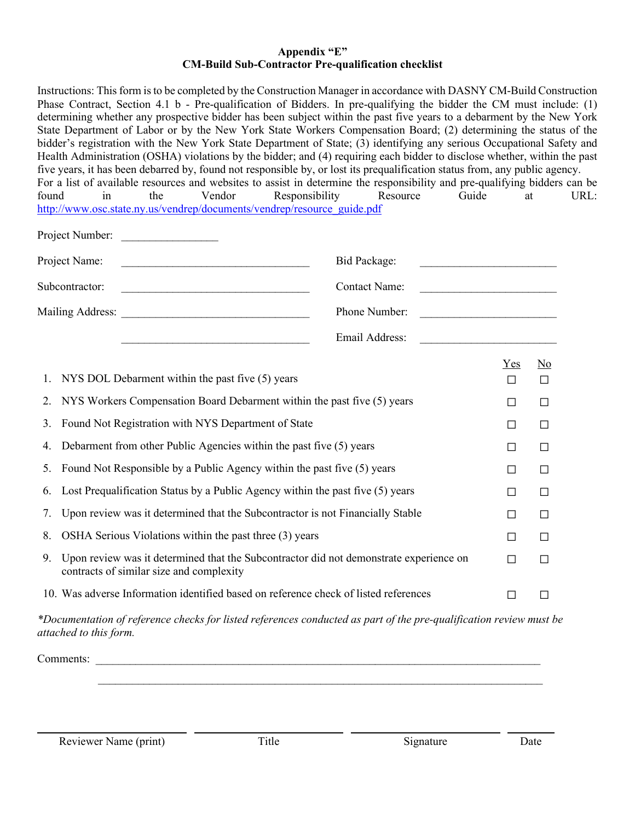## **Appendix "E" CM-Build Sub-Contractor Pre-qualification checklist**

| Instructions: This form is to be completed by the Construction Manager in accordance with DASNY CM-Build Construction<br>Phase Contract, Section 4.1 b - Pre-qualification of Bidders. In pre-qualifying the bidder the CM must include: (1)<br>determining whether any prospective bidder has been subject within the past five years to a debarment by the New York<br>State Department of Labor or by the New York State Workers Compensation Board; (2) determining the status of the<br>bidder's registration with the New York State Department of State; (3) identifying any serious Occupational Safety and<br>Health Administration (OSHA) violations by the bidder; and (4) requiring each bidder to disclose whether, within the past<br>five years, it has been debarred by, found not responsible by, or lost its prequalification status from, any public agency.<br>For a list of available resources and websites to assist in determine the responsibility and pre-qualifying bidders can be<br>Vendor<br>found<br>in<br>the<br>http://www.osc.state.ny.us/vendrep/documents/vendrep/resource_guide.pdf | Guide<br>Responsibility<br>Resource                                     |                 | at                                  | URL: |
|--------------------------------------------------------------------------------------------------------------------------------------------------------------------------------------------------------------------------------------------------------------------------------------------------------------------------------------------------------------------------------------------------------------------------------------------------------------------------------------------------------------------------------------------------------------------------------------------------------------------------------------------------------------------------------------------------------------------------------------------------------------------------------------------------------------------------------------------------------------------------------------------------------------------------------------------------------------------------------------------------------------------------------------------------------------------------------------------------------------------------|-------------------------------------------------------------------------|-----------------|-------------------------------------|------|
| Project Number:                                                                                                                                                                                                                                                                                                                                                                                                                                                                                                                                                                                                                                                                                                                                                                                                                                                                                                                                                                                                                                                                                                          |                                                                         |                 |                                     |      |
| Project Name:                                                                                                                                                                                                                                                                                                                                                                                                                                                                                                                                                                                                                                                                                                                                                                                                                                                                                                                                                                                                                                                                                                            | Bid Package:                                                            |                 |                                     |      |
| Subcontractor:<br><u> 1989 - Jan James James James James James James James James James James James James James James James James Ja</u>                                                                                                                                                                                                                                                                                                                                                                                                                                                                                                                                                                                                                                                                                                                                                                                                                                                                                                                                                                                  | <b>Contact Name:</b><br><u> 1989 - Johann John Stone, mars et al. (</u> |                 |                                     |      |
|                                                                                                                                                                                                                                                                                                                                                                                                                                                                                                                                                                                                                                                                                                                                                                                                                                                                                                                                                                                                                                                                                                                          | Phone Number:<br><u> 1989 - Johann Barbara, martxa a</u>                |                 |                                     |      |
|                                                                                                                                                                                                                                                                                                                                                                                                                                                                                                                                                                                                                                                                                                                                                                                                                                                                                                                                                                                                                                                                                                                          | Email Address:                                                          |                 |                                     |      |
| NYS DOL Debarment within the past five (5) years<br>1.                                                                                                                                                                                                                                                                                                                                                                                                                                                                                                                                                                                                                                                                                                                                                                                                                                                                                                                                                                                                                                                                   |                                                                         | $Yes$<br>$\Box$ | $\underline{\mathrm{No}}$<br>$\Box$ |      |
| NYS Workers Compensation Board Debarment within the past five (5) years<br>2.                                                                                                                                                                                                                                                                                                                                                                                                                                                                                                                                                                                                                                                                                                                                                                                                                                                                                                                                                                                                                                            |                                                                         | □               | $\Box$                              |      |
| Found Not Registration with NYS Department of State<br>3.                                                                                                                                                                                                                                                                                                                                                                                                                                                                                                                                                                                                                                                                                                                                                                                                                                                                                                                                                                                                                                                                |                                                                         | $\Box$          | $\Box$                              |      |
| Debarment from other Public Agencies within the past five (5) years<br>4.                                                                                                                                                                                                                                                                                                                                                                                                                                                                                                                                                                                                                                                                                                                                                                                                                                                                                                                                                                                                                                                |                                                                         | П               | □                                   |      |
| Found Not Responsible by a Public Agency within the past five (5) years<br>5.                                                                                                                                                                                                                                                                                                                                                                                                                                                                                                                                                                                                                                                                                                                                                                                                                                                                                                                                                                                                                                            |                                                                         | □               | $\Box$                              |      |
| Lost Prequalification Status by a Public Agency within the past five (5) years<br>6.                                                                                                                                                                                                                                                                                                                                                                                                                                                                                                                                                                                                                                                                                                                                                                                                                                                                                                                                                                                                                                     |                                                                         | □               | $\Box$                              |      |
| Upon review was it determined that the Subcontractor is not Financially Stable<br>7.                                                                                                                                                                                                                                                                                                                                                                                                                                                                                                                                                                                                                                                                                                                                                                                                                                                                                                                                                                                                                                     |                                                                         | □               | $\Box$                              |      |
| OSHA Serious Violations within the past three (3) years<br>8.                                                                                                                                                                                                                                                                                                                                                                                                                                                                                                                                                                                                                                                                                                                                                                                                                                                                                                                                                                                                                                                            |                                                                         | □               | $\Box$                              |      |
| Upon review was it determined that the Subcontractor did not demonstrate experience on<br>9.<br>contracts of similar size and complexity                                                                                                                                                                                                                                                                                                                                                                                                                                                                                                                                                                                                                                                                                                                                                                                                                                                                                                                                                                                 |                                                                         | □               | $\Box$                              |      |
| 10. Was adverse Information identified based on reference check of listed references                                                                                                                                                                                                                                                                                                                                                                                                                                                                                                                                                                                                                                                                                                                                                                                                                                                                                                                                                                                                                                     |                                                                         | П               | □                                   |      |
| *Documentation of reference checks for listed references conducted as part of the pre-qualification review must be                                                                                                                                                                                                                                                                                                                                                                                                                                                                                                                                                                                                                                                                                                                                                                                                                                                                                                                                                                                                       |                                                                         |                 |                                     |      |

Comments: \_\_\_\_\_\_\_\_\_\_\_\_\_\_\_\_\_\_\_\_\_\_\_\_\_\_\_\_\_\_\_\_\_\_\_\_\_\_\_\_\_\_\_\_\_\_\_\_\_\_\_\_\_\_\_\_\_\_\_\_\_\_\_\_\_\_\_\_\_\_\_\_\_\_\_\_\_\_

*attached to this form.*

 $\mathcal{L}_\text{max}$  and  $\mathcal{L}_\text{max}$  and  $\mathcal{L}_\text{max}$  and  $\mathcal{L}_\text{max}$  and  $\mathcal{L}_\text{max}$  and  $\mathcal{L}_\text{max}$ 

- -

 $\sim$